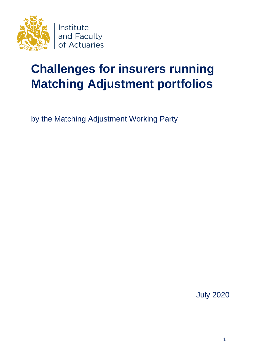

# **Challenges for insurers running Matching Adjustment portfolios**

by the Matching Adjustment Working Party

July 2020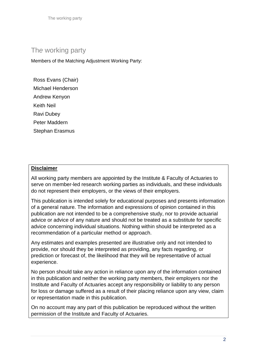The working party

## Th*e* working party

Members of the Matching Adjustment Working Party:

Ross Evans (Chair) Michael Henderson Andrew Kenyon Keith Neil Ravi Dubey Peter Maddern Stephan Erasmus

## **Disclaimer**

All working party members are appointed by the Institute & Faculty of Actuaries to serve on member-led research working parties as individuals, and these individuals do not represent their employers, or the views of their employers.

This publication is intended solely for educational purposes and presents information of a general nature. The information and expressions of opinion contained in this publication are not intended to be a comprehensive study, nor to provide actuarial advice or advice of any nature and should not be treated as a substitute for specific advice concerning individual situations. Nothing within should be interpreted as a recommendation of a particular method or approach.

Any estimates and examples presented are illustrative only and not intended to provide, nor should they be interpreted as providing, any facts regarding, or prediction or forecast of, the likelihood that they will be representative of actual experience.

No person should take any action in reliance upon any of the information contained in this publication and neither the working party members, their employers nor the Institute and Faculty of Actuaries accept any responsibility or liability to any person for loss or damage suffered as a result of their placing reliance upon any view, claim or representation made in this publication.

On no account may any part of this publication be reproduced without the written permission of the Institute and Faculty of Actuaries.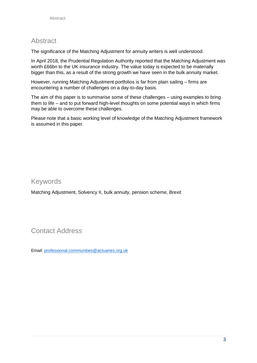## Abstract

The significance of the Matching Adjustment for annuity writers is well understood.

In April 2018, the Prudential Regulation Authority reported that the Matching Adjustment was worth £66bn to the UK insurance industry. The value today is expected to be materially bigger than this, as a result of the strong growth we have seen in the bulk annuity market.

However, running Matching Adjustment portfolios is far from plain sailing – firms are encountering a number of challenges on a day-to-day basis.

The aim of this paper is to summarise some of these challenges – using examples to bring them to life – and to put forward high-level thoughts on some potential ways in which firms may be able to overcome these challenges.

Please note that a basic working level of knowledge of the Matching Adjustment framework is assumed in this paper.

## Keywords

Matching Adjustment, Solvency II, bulk annuity, pension scheme, Brexit

## Contact Address

Email: [professional.communities@actuaries.org.uk](mailto:professional.communities@actuaries.org.uk)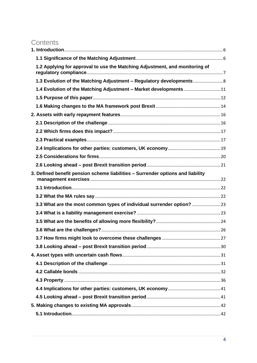## **Contents**

| 1.2 Applying for approval to use the Matching Adjustment, and monitoring of     |  |
|---------------------------------------------------------------------------------|--|
| 1.3 Evolution of the Matching Adjustment - Regulatory developments              |  |
| 1.4 Evolution of the Matching Adjustment - Market developments11                |  |
|                                                                                 |  |
|                                                                                 |  |
|                                                                                 |  |
|                                                                                 |  |
|                                                                                 |  |
|                                                                                 |  |
|                                                                                 |  |
|                                                                                 |  |
|                                                                                 |  |
| 3. Defined benefit pension scheme liabilities - Surrender options and liability |  |
|                                                                                 |  |
|                                                                                 |  |
| 3.3 What are the most common types of individual surrender option?              |  |
|                                                                                 |  |
|                                                                                 |  |
|                                                                                 |  |
|                                                                                 |  |
|                                                                                 |  |
|                                                                                 |  |
|                                                                                 |  |
|                                                                                 |  |
|                                                                                 |  |
|                                                                                 |  |
|                                                                                 |  |
|                                                                                 |  |
|                                                                                 |  |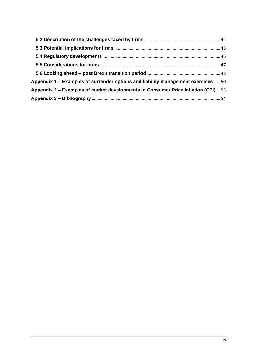| Appendix 1 – Examples of surrender options and liability management exercises50  |  |
|----------------------------------------------------------------------------------|--|
| Appendix 2 – Examples of market developments in Consumer Price Inflation (CPI)53 |  |
|                                                                                  |  |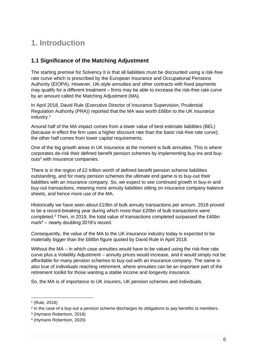## <span id="page-5-0"></span>**1. Introduction**

## <span id="page-5-1"></span>**1.1 Significance of the Matching Adjustment**

The starting premise for Solvency II is that all liabilities must be discounted using a risk-free rate curve which is prescribed by the European Insurance and Occupational Pensions Authority (EIOPA). However, UK-style annuities and other contracts with fixed payments may qualify for a different treatment – firms may be able to increase the risk-free rate curve by an amount called the Matching Adjustment (MA).

In April 2018, David Rule (Executive Director of Insurance Supervision, Prudential Regulation Authority (PRA)) reported that the MA was worth £66bn to the UK insurance industry. 1

Around half of the MA impact comes from a lower value of best estimate liabilities (BEL) (because in effect the firm uses a higher discount rate than the basic risk-free rate curve); the other half comes from lower capital requirements.

One of the big growth areas in UK insurance at the moment is bulk annuities. This is where corporates de-risk their defined benefit pension schemes by implementing buy-ins and buyouts<sup>2</sup> with insurance companies.

There is in the region of £2 trillion worth of defined benefit pension scheme liabilities outstanding, and for many pension schemes the ultimate end game is to buy-out their liabilities with an insurance company. So, we expect to see continued growth in buy-in and buy-out transactions, meaning more annuity liabilities sitting on insurance company balance sheets, and hence more use of the MA.

Historically we have seen about £10bn of bulk annuity transactions per annum. 2018 proved to be a record-breaking year during which more than £20bn of bulk transactions were completed.<sup>3</sup> Then, in 2019, the total value of transactions completed surpassed the £40bn mark $4$  – nearly doubling 2018's record.

Consequently, the value of the MA to the UK insurance industry today is expected to be materially bigger than the £66bn figure quoted by David Rule in April 2018.

Without the MA – in which case annuities would have to be valued using the risk-free rate curve plus a Volatility Adjustment – annuity prices would increase, and it would simply not be affordable for many pension schemes to buy-out with an insurance company. The same is also true of individuals reaching retirement, where annuities can be an important part of the retirement toolkit for those wanting a stable income and longevity insurance.

So, the MA is of importance to UK insurers, UK pension schemes and individuals.

<sup>1</sup> (Rule, 2018)

<sup>&</sup>lt;sup>2</sup> In the case of a buy-out a pension scheme discharges its obligations to pay benefits to members.

<sup>3</sup> (Hymans Robertson, 2018)

<sup>4</sup> (Hymans Robertson, 2020)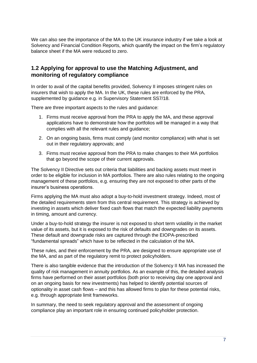We can also see the importance of the MA to the UK insurance industry if we take a look at Solvency and Financial Condition Reports, which quantify the impact on the firm's regulatory balance sheet if the MA were reduced to zero.

## <span id="page-6-0"></span>**1.2 Applying for approval to use the Matching Adjustment, and monitoring of regulatory compliance**

In order to avail of the capital benefits provided, Solvency II imposes stringent rules on insurers that wish to apply the MA. In the UK, these rules are enforced by the PRA, supplemented by guidance e.g. in Supervisory Statement SS7/18.

There are three important aspects to the rules and guidance:

- 1. Firms must receive approval from the PRA to apply the MA, and these approval applications have to demonstrate how the portfolios will be managed in a way that complies with all the relevant rules and guidance;
- 2. On an ongoing basis, firms must comply (and monitor compliance) with what is set out in their regulatory approvals; and
- 3. Firms must receive approval from the PRA to make changes to their MA portfolios that go beyond the scope of their current approvals.

The Solvency II Directive sets out criteria that liabilities and backing assets must meet in order to be eligible for inclusion in MA portfolios. There are also rules relating to the ongoing management of these portfolios, e.g. ensuring they are not exposed to other parts of the insurer's business operations.

Firms applying the MA must also adopt a buy-to-hold investment strategy. Indeed, most of the detailed requirements stem from this central requirement. This strategy is achieved by investing in assets which deliver fixed cash flows that match the expected liability payments in timing, amount and currency.

Under a buy-to-hold strategy the insurer is not exposed to short term volatility in the market value of its assets, but it is exposed to the risk of defaults and downgrades on its assets. These default and downgrade risks are captured through the EIOPA-prescribed "fundamental spreads" which have to be reflected in the calculation of the MA.

These rules, and their enforcement by the PRA, are designed to ensure appropriate use of the MA, and as part of the regulatory remit to protect policyholders.

There is also tangible evidence that the introduction of the Solvency II MA has increased the quality of risk management in annuity portfolios. As an example of this, the detailed analysis firms have performed on their asset portfolios (both prior to receiving day one approval and on an ongoing basis for new investments) has helped to identify potential sources of optionality in asset cash flows – and this has allowed firms to plan for these potential risks, e.g. through appropriate limit frameworks.

In summary, the need to seek regulatory approval and the assessment of ongoing compliance play an important role in ensuring continued policyholder protection.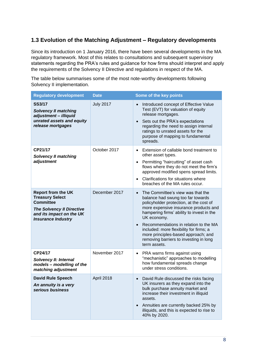## <span id="page-7-0"></span>**1.3 Evolution of the Matching Adjustment – Regulatory developments**

Since its introduction on 1 January 2016, there have been several developments in the MA regulatory framework. Most of this relates to consultations and subsequent supervisory statements regarding the PRA's rules and guidance for how firms should interpret and apply the requirements of the Solvency II Directive and regulations in respect of the MA.

The table below summarises some of the most note-worthy developments following Solvency II implementation.

| <b>Regulatory development</b>                                                                                                                                        | <b>Date</b>      | Some of the key points                                                                                                                                                                                                                                                                                                                                                                                                                |
|----------------------------------------------------------------------------------------------------------------------------------------------------------------------|------------------|---------------------------------------------------------------------------------------------------------------------------------------------------------------------------------------------------------------------------------------------------------------------------------------------------------------------------------------------------------------------------------------------------------------------------------------|
| <b>SS3/17</b><br><b>Solvency II matching</b><br>adjustment - illiquid<br>unrated assets and equity<br>release mortgages                                              | <b>July 2017</b> | Introduced concept of Effective Value<br>$\bullet$<br>Test (EVT) for valuation of equity<br>release mortgages.<br>Sets out the PRA's expectations<br>$\bullet$<br>regarding the need to assign internal<br>ratings to unrated assets for the<br>purpose of mapping to fundamental<br>spreads.                                                                                                                                         |
| CP21/17<br><b>Solvency II matching</b><br>adjustment                                                                                                                 | October 2017     | Extension of callable bond treatment to<br>$\bullet$<br>other asset types.<br>Permitting "haircutting" of asset cash<br>$\bullet$<br>flows where they do not meet the firm's<br>approved modified spens spread limits.<br>Clarifications for situations where<br>$\bullet$<br>breaches of the MA rules occur.                                                                                                                         |
| <b>Report from the UK</b><br><b>Treasury Select</b><br><b>Committee</b><br><b>The Solvency II Directive</b><br>and its impact on the UK<br><b>Insurance Industry</b> | December 2017    | The Committee's view was that the<br>$\bullet$<br>balance had swung too far towards<br>policyholder protection, at the cost of<br>more expensive insurance products and<br>hampering firms' ability to invest in the<br>UK economy.<br>Recommendations in relation to the MA<br>$\bullet$<br>included: more flexibility for firms; a<br>more principles-based approach; and<br>removing barriers to investing in long<br>term assets. |
| CP24/17<br><b>Solvency II: Internal</b><br>models - modelling of the<br>matching adjustment                                                                          | November 2017    | PRA warns firms against using<br>$\bullet$<br>"mechanistic" approaches to modelling<br>how fundamental spreads change<br>under stress conditions.                                                                                                                                                                                                                                                                                     |
| <b>David Rule Speech</b><br>An annuity is a very<br>serious business                                                                                                 | April 2018       | David Rule discussed the risks facing<br>UK insurers as they expand into the<br>bulk purchase annuity market and<br>increase their investment in illiquid<br>assets.<br>Annuities are currently backed 25% by<br>illiquids, and this is expected to rise to<br>40% by 2020.                                                                                                                                                           |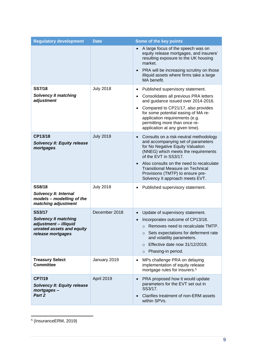| <b>Regulatory development</b>                                                                                           | <b>Date</b>      | Some of the key points                                                                                                                                                                                                                                                                                                                                                    |
|-------------------------------------------------------------------------------------------------------------------------|------------------|---------------------------------------------------------------------------------------------------------------------------------------------------------------------------------------------------------------------------------------------------------------------------------------------------------------------------------------------------------------------------|
|                                                                                                                         |                  | A large focus of the speech was on<br>equity release mortgages, and insurers'<br>resulting exposure to the UK housing<br>market.<br>PRA will be increasing scrutiny on those<br>$\bullet$<br>illiquid assets where firms take a large<br>MA benefit.                                                                                                                      |
| <b>SS7/18</b><br><b>Solvency II matching</b>                                                                            | <b>July 2018</b> | Published supervisory statement.<br>$\bullet$<br>Consolidates all previous PRA letters<br>$\bullet$                                                                                                                                                                                                                                                                       |
| adjustment                                                                                                              |                  | and guidance issued over 2014-2016.<br>Compared to CP21/17, also provides<br>$\bullet$<br>for some potential easing of MA re-<br>application requirements (e.g.<br>permitting more than once re-<br>application at any given time).                                                                                                                                       |
| CP13/18<br><b>Solvency II: Equity release</b><br>mortgages                                                              | <b>July 2018</b> | Consults on a risk-neutral methodology<br>$\bullet$<br>and accompanying set of parameters<br>for No Negative Equity Valuation<br>(NNEG) which meets the requirements<br>of the EVT in SS3/17.<br>Also consults on the need to recalculate<br>$\bullet$<br><b>Transitional Measure on Technical</b><br>Provisions (TMTP) to ensure pre-<br>Solvency II approach meets EVT. |
| <b>SS8/18</b><br>Solvency II: Internal<br>models - modelling of the<br>matching adjustment                              | <b>July 2018</b> | Published supervisory statement.<br>٠                                                                                                                                                                                                                                                                                                                                     |
| <b>SS3/17</b><br><b>Solvency II matching</b><br>adjustment - illiquid<br>unrated assets and equity<br>release mortgages | December 2018    | Update of supervisory statement.<br>$\bullet$<br>Incorporates outcome of CP13/18.<br>o Removes need to recalculate TMTP.<br>o Sets expectations for deferment rate<br>and volatility parameters.<br>Effective date now 31/12/2019.<br>$\circ$<br>Phasing-in period.<br>$\circ$                                                                                            |
| <b>Treasury Select</b><br><b>Committee</b>                                                                              | January 2019     | MPs challenge PRA on delaying<br>$\bullet$<br>implementation of equity release<br>mortgage rules for insurers. <sup>5</sup>                                                                                                                                                                                                                                               |
| CP7/19<br><b>Solvency II: Equity release</b><br>mortgages-<br>Part 2                                                    | April 2019       | PRA proposed how it would update<br>$\bullet$<br>parameters for the EVT set out in<br>SS3/17.<br>Clarifies treatment of non-ERM assets<br>$\bullet$<br>within SPVs.                                                                                                                                                                                                       |

<sup>5</sup> (InsuranceERM, 2019)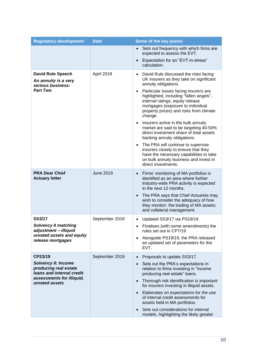| <b>Regulatory development</b>                                                    | <b>Date</b>      | Some of the key points                                                                                                                                                                                                       |
|----------------------------------------------------------------------------------|------------------|------------------------------------------------------------------------------------------------------------------------------------------------------------------------------------------------------------------------------|
|                                                                                  |                  | Sets out frequency with which firms are<br>$\bullet$<br>expected to assess the EVT.                                                                                                                                          |
|                                                                                  |                  | Expectation for an "EVT-in-stress"<br>$\bullet$<br>calculation.                                                                                                                                                              |
| <b>David Rule Speech</b><br>An annuity is a very<br>serious business:            | April 2019       | David Rule discussed the risks facing<br>$\bullet$<br>UK insurers as they take on significant<br>annuity obligations.                                                                                                        |
| <b>Part Two</b>                                                                  |                  | Particular issues facing insurers are<br>$\bullet$<br>highlighted, including "fallen angels",<br>internal ratings, equity release<br>mortgages (exposure to individual<br>property prices) and risks from climate<br>change. |
|                                                                                  |                  | Insurers active in the bulk annuity<br>$\bullet$<br>market are said to be targeting 40-50%<br>direct investment share of total assets<br>backing annuity obligations.                                                        |
|                                                                                  |                  | The PRA will continue to supervise<br>$\bullet$<br>insurers closely to ensure that they<br>have the necessary capabilities to take<br>on bulk annuity business and invest in<br>direct investments.                          |
| <b>PRA Dear Chief</b><br><b>Actuary letter</b>                                   | <b>June 2019</b> | Firms' monitoring of MA portfolios is<br>identified as an area where further<br>industry-wide PRA activity is expected<br>in the next 12 months.                                                                             |
|                                                                                  |                  | The PRA says that Chief Actuaries may<br>$\bullet$<br>wish to consider the adequacy of how<br>they monitor: the trading of MA assets;<br>and collateral management.                                                          |
| <b>SS3/17</b><br><b>Solvency II matching</b>                                     | September 2019   | Updated SS3/17 via PS19/19.<br>$\bullet$                                                                                                                                                                                     |
| adjustment - illiquid                                                            |                  | Finalises (with some amendments) the<br>rules set out in CP7/19.                                                                                                                                                             |
| unrated assets and equity<br>release mortgages                                   |                  | Alongside PS19/19, the PRA released<br>an updated set of parameters for the<br>EVT.                                                                                                                                          |
| CP23/19                                                                          | September 2019   | Proposals to update SS3/17.                                                                                                                                                                                                  |
| <b>Solvency II: Income</b><br>producing real estate<br>loans and internal credit |                  | Sets out the PRA's expectations in<br>$\bullet$<br>relation to firms investing in "income<br>producing real estate" loans.                                                                                                   |
| assessments for illiquid,<br>unrated assets                                      |                  | Thorough risk identification is important<br>$\bullet$<br>for insurers investing in illiquid assets.                                                                                                                         |
|                                                                                  |                  | Elaborates on expectations for the use<br>$\bullet$<br>of internal credit assessments for<br>assets held in MA portfolios.                                                                                                   |
|                                                                                  |                  | Sets out considerations for internal<br>models, highlighting the likely greater                                                                                                                                              |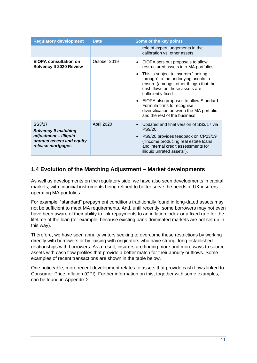| <b>Regulatory development</b>                                                                                           | <b>Date</b>  | Some of the key points                                                                                                                                                                                                                                                                                                                                                                                                                                      |
|-------------------------------------------------------------------------------------------------------------------------|--------------|-------------------------------------------------------------------------------------------------------------------------------------------------------------------------------------------------------------------------------------------------------------------------------------------------------------------------------------------------------------------------------------------------------------------------------------------------------------|
|                                                                                                                         |              | role of expert judgements in the<br>calibration vs. other assets.                                                                                                                                                                                                                                                                                                                                                                                           |
| <b>EIOPA consultation on</b><br><b>Solvency II 2020 Review</b>                                                          | October 2019 | EIOPA sets out proposals to allow<br>$\bullet$<br>restructured assets into MA portfolios.<br>This is subject to insurers "looking-<br>$\bullet$<br>through" to the underlying assets to<br>ensure (amongst other things) that the<br>cash flows on those assets are<br>sufficiently fixed.<br>EIOPA also proposes to allow Standard<br>$\bullet$<br>Formula firms to recognise<br>diversification between the MA portfolio<br>and the rest of the business. |
| <b>SS3/17</b><br><b>Solvency II matching</b><br>adjustment - illiquid<br>unrated assets and equity<br>release mortgages | April 2020   | Updated and final version of SS3/17 via<br>PS9/20.<br>PS9/20 provides feedback on CP23/19<br>$\bullet$<br>("Income producing real estate loans<br>and internal credit assessments for<br>illiquid unrated assets").                                                                                                                                                                                                                                         |

## <span id="page-10-0"></span>**1.4 Evolution of the Matching Adjustment – Market developments**

As well as developments on the regulatory side, we have also seen developments in capital markets, with financial instruments being refined to better serve the needs of UK insurers operating MA portfolios.

For example, "standard" prepayment conditions traditionally found in long-dated assets may not be sufficient to meet MA requirements. And, until recently, some borrowers may not even have been aware of their ability to link repayments to an inflation index or a fixed rate for the lifetime of the loan (for example, because existing bank-dominated markets are not set up in this way).

Therefore, we have seen annuity writers seeking to overcome these restrictions by working directly with borrowers or by liaising with originators who have strong, long-established relationships with borrowers. As a result, insurers are finding more and more ways to source assets with cash flow profiles that provide a better match for their annuity outflows. Some examples of recent transactions are shown in the table below.

One noticeable, more recent development relates to assets that provide cash flows linked to Consumer Price Inflation (CPI). Further information on this, together with some examples, can be found in Appendix 2.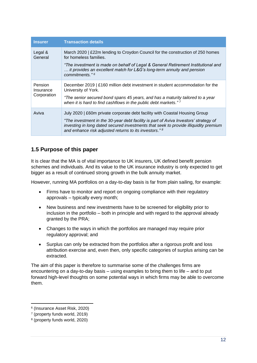| <b>Insurer</b>              | <b>Transaction details</b>                                                                                                                                                                                                             |
|-----------------------------|----------------------------------------------------------------------------------------------------------------------------------------------------------------------------------------------------------------------------------------|
| Legal &<br>General          | March 2020   £22m lending to Croydon Council for the construction of 250 homes<br>for homeless families.                                                                                                                               |
|                             | "The investment is made on behalf of Legal & General Retirement Institutional and<br>it provides an excellent match for L&G's long-term annuity and pension<br>commitments." $6$                                                       |
| <b>Pension</b><br>Insurance | December 2019   £160 million debt investment in student accommodation for the<br>University of York.                                                                                                                                   |
| Corporation                 | "The senior secured bond spans 45 years, and has a maturity tailored to a year<br>when it is hard to find cashflows in the public debt markets." 7                                                                                     |
| Aviva                       | July 2020   £60m private corporate debt facility with Coastal Housing Group                                                                                                                                                            |
|                             | "The investment in the 30-year debt facility is part of Aviva Investors' strategy of<br>investing in long dated secured investments that seek to provide illiquidity premium<br>and enhance risk adjusted returns to its investors." 8 |

## <span id="page-11-0"></span>**1.5 Purpose of this paper**

It is clear that the MA is of vital importance to UK insurers, UK defined benefit pension schemes and individuals. And its value to the UK insurance industry is only expected to get bigger as a result of continued strong growth in the bulk annuity market.

However, running MA portfolios on a day-to-day basis is far from plain sailing, for example:

- Firms have to monitor and report on ongoing compliance with their regulatory approvals – typically every month;
- New business and new investments have to be screened for eligibility prior to inclusion in the portfolio – both in principle and with regard to the approval already granted by the PRA;
- Changes to the ways in which the portfolios are managed may require prior regulatory approval; and
- Surplus can only be extracted from the portfolios after a rigorous profit and loss attribution exercise and, even then, only specific categories of surplus arising can be extracted.

The aim of this paper is therefore to summarise some of the challenges firms are encountering on a day-to-day basis – using examples to bring them to life – and to put forward high-level thoughts on some potential ways in which firms may be able to overcome them.

<sup>6</sup> (Insurance Asset Risk, 2020)

<sup>7</sup> (property funds world, 2019)

<sup>8</sup> (property funds world, 2020)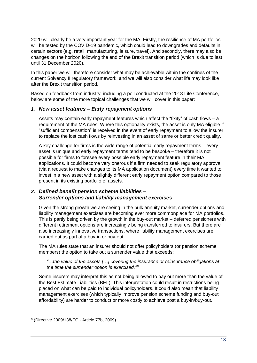2020 will clearly be a very important year for the MA. Firstly, the resilience of MA portfolios will be tested by the COVID-19 pandemic, which could lead to downgrades and defaults in certain sectors (e.g. retail, manufacturing, leisure, travel). And secondly, there may also be changes on the horizon following the end of the Brexit transition period (which is due to last until 31 December 2020).

In this paper we will therefore consider what may be achievable within the confines of the current Solvency II regulatory framework, and we will also consider what life may look like after the Brexit transition period.

Based on feedback from industry, including a poll conducted at the 2018 Life Conference, below are some of the more topical challenges that we will cover in this paper:

## *1. New asset features – Early repayment options*

Assets may contain early repayment features which affect the "fixity" of cash flows – a requirement of the MA rules. Where this optionality exists, the asset is only MA eligible if "sufficient compensation" is received in the event of early repayment to allow the insurer to replace the lost cash flows by reinvesting in an asset of same or better credit quality.

A key challenge for firms is the wide range of potential early repayment terms – every asset is unique and early repayment terms tend to be bespoke – therefore it is not possible for firms to foresee every possible early repayment feature in their MA applications. It could become very onerous if a firm needed to seek regulatory approval (via a request to make changes to its MA application document) every time it wanted to invest in a new asset with a slightly different early repayment option compared to those present in its existing portfolio of assets.

## *2. Defined benefit pension scheme liabilities – Surrender options and liability management exercises*

Given the strong growth we are seeing in the bulk annuity market, surrender options and liability management exercises are becoming ever more commonplace for MA portfolios. This is partly being driven by the growth in the buy-out market – deferred pensioners with different retirement options are increasingly being transferred to insurers. But there are also increasingly innovative transactions, where liability management exercises are carried out as part of a buy-in or buy-out.

The MA rules state that an insurer should not offer policyholders (or pension scheme members) the option to take out a surrender value that exceeds:

*"…the value of the assets […] covering the insurance or reinsurance obligations at the time the surrender option is exercised."<sup>9</sup>* 

Some insurers may interpret this as not being allowed to pay out more than the value of the Best Estimate Liabilities (BEL). This interpretation could result in restrictions being placed on what can be paid to individual policyholders. It could also mean that liability management exercises (which typically improve pension scheme funding and buy-out affordability) are harder to conduct or more costly to achieve post a buy-in/buy-out.

<sup>9</sup> (Directive 2009/138/EC - Article 77b, 2009)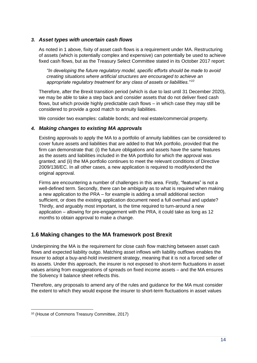## *3. Asset types with uncertain cash flows*

As noted in 1 above, fixity of asset cash flows is a requirement under MA. Restructuring of assets (which is potentially complex and expensive) can potentially be used to achieve fixed cash flows, but as the Treasury Select Committee stated in its October 2017 report:

*"In developing the future regulatory model, specific efforts should be made to avoid creating situations where artificial structures are encouraged to achieve an appropriate regulatory treatment for any class of assets or liabilities." <sup>10</sup>*

Therefore, after the Brexit transition period (which is due to last until 31 December 2020), we may be able to take a step back and consider assets that do not deliver fixed cash flows, but which provide highly predictable cash flows – in which case they may still be considered to provide a good match to annuity liabilities.

We consider two examples: callable bonds; and real estate/commercial property.

## *4. Making changes to existing MA approvals*

Existing approvals to apply the MA to a portfolio of annuity liabilities can be considered to cover future assets and liabilities that are added to that MA portfolio, provided that the firm can demonstrate that: (i) the future obligations and assets have the same features as the assets and liabilities included in the MA portfolio for which the approval was granted; and (ii) the MA portfolio continues to meet the relevant conditions of Directive 2009/138/EC. In all other cases, a new application is required to modify/extend the original approval.

Firms are encountering a number of challenges in this area. Firstly, "features" is not a well-defined term. Secondly, there can be ambiguity as to what is required when making a new application to the PRA – for example is adding a small additional section sufficient, or does the existing application document need a full overhaul and update? Thirdly, and arguably most important, is the time required to turn-around a new application – allowing for pre-engagement with the PRA, it could take as long as 12 months to obtain approval to make a change.

## <span id="page-13-0"></span>**1.6 Making changes to the MA framework post Brexit**

Underpinning the MA is the requirement for close cash flow matching between asset cash flows and expected liability outgo. Matching asset inflows with liability outflows enables the insurer to adopt a buy-and-hold investment strategy, meaning that it is not a forced seller of its assets. Under this approach, the insurer is not exposed to short-term fluctuations in asset values arising from exaggerations of spreads on fixed income assets – and the MA ensures the Solvency II balance sheet reflects this.

Therefore, any proposals to amend any of the rules and guidance for the MA must consider the extent to which they would expose the insurer to short-term fluctuations in asset values

<sup>10</sup> (House of Commons Treasury Committee, 2017)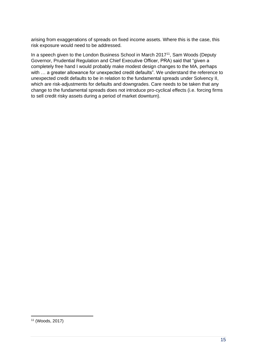arising from exaggerations of spreads on fixed income assets. Where this is the case, this risk exposure would need to be addressed.

In a speech given to the London Business School in March 2017<sup>11</sup>, Sam Woods (Deputy Governor, Prudential Regulation and Chief Executive Officer, PRA) said that "given a completely free hand I would probably make modest design changes to the MA, perhaps with ... a greater allowance for unexpected credit defaults". We understand the reference to unexpected credit defaults to be in relation to the fundamental spreads under Solvency II, which are risk-adjustments for defaults and downgrades. Care needs to be taken that any change to the fundamental spreads does not introduce pro-cyclical effects (i.e. forcing firms to sell credit risky assets during a period of market downturn).

<sup>11</sup> (Woods, 2017)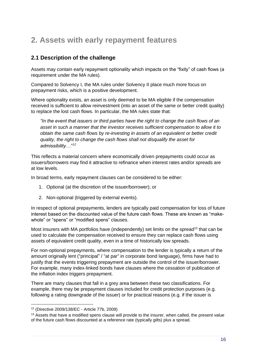## <span id="page-15-0"></span>**2. Assets with early repayment features**

## <span id="page-15-1"></span>**2.1 Description of the challenge**

Assets may contain early repayment optionality which impacts on the "fixity" of cash flows (a requirement under the MA rules).

Compared to Solvency I, the MA rules under Solvency II place much more focus on prepayment risks, which is a positive development.

Where optionality exists, an asset is only deemed to be MA eligible if the compensation received is sufficient to allow reinvestment (into an asset of the same or better credit quality) to replace the lost cash flows. In particular, the MA rules state that:

*"In the event that issuers or third parties have the right to change the cash flows of an asset in such a manner that the investor receives sufficient compensation to allow it to obtain the same cash flows by re-investing in assets of an equivalent or better credit quality, the right to change the cash flows shall not disqualify the asset for admissibility…" <sup>12</sup>*

This reflects a material concern where economically driven prepayments could occur as issuers/borrowers may find it attractive to refinance when interest rates and/or spreads are at low levels.

In broad terms, early repayment clauses can be considered to be either:

- 1. Optional (at the discretion of the issuer/borrower); or
- 2. Non-optional (triggered by external events).

In respect of optional prepayments, lenders are typically paid compensation for loss of future interest based on the discounted value of the future cash flows. These are known as "makewhole" or "spens" or "modified spens" clauses.

Most insurers with MA portfolios have (independently) set limits on the spread<sup>13</sup> that can be used to calculate the compensation received to ensure they can replace cash flows using assets of equivalent credit quality, even in a time of historically low spreads.

For non-optional prepayments, where compensation to the lender is typically a return of the amount originally lent ("principal" / "at par" in corporate bond language), firms have had to justify that the events triggering prepayment are outside the control of the issuer/borrower. For example, many index-linked bonds have clauses where the cessation of publication of the inflation index triggers prepayment.

There are many clauses that fall in a grey area between these two classifications. For example, there may be prepayment clauses included for credit protection purposes (e.g. following a rating downgrade of the issuer) or for practical reasons (e.g. if the issuer is

<sup>12</sup> (Directive 2009/138/EC - Article 77b, 2009)

<sup>&</sup>lt;sup>13</sup> Assets that have a modified spens clause will provide to the insurer, when called, the present value of the future cash flows discounted at a reference rate (typically gilts) plus a spread.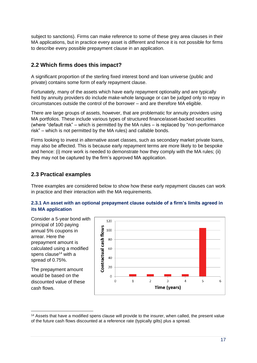subject to sanctions). Firms can make reference to some of these grey area clauses in their MA applications, but in practice every asset is different and hence it is not possible for firms to describe every possible prepayment clause in an application.

## <span id="page-16-0"></span>**2.2 Which firms does this impact?**

A significant proportion of the sterling fixed interest bond and loan universe (public and private) contains some form of early repayment clause.

Fortunately, many of the assets which have early repayment optionality and are typically held by annuity providers do include make-whole language or can be judged only to repay in circumstances outside the control of the borrower – and are therefore MA eligible.

There are large groups of assets, however, that are problematic for annuity providers using MA portfolios. These include various types of structured finance/asset-backed securities (where "default risk" – which is permitted by the MA rules – is replaced by "non-performance risk" – which is not permitted by the MA rules) and callable bonds.

Firms looking to invest in alternative asset classes, such as secondary market private loans, may also be affected. This is because early repayment terms are more likely to be bespoke and hence: (i) more work is needed to demonstrate how they comply with the MA rules; (ii) they may not be captured by the firm's approved MA application.

## <span id="page-16-1"></span>**2.3 Practical examples**

Three examples are considered below to show how these early repayment clauses can work in practice and their interaction with the MA requirements.

## **2.3.1 An asset with an optional prepayment clause outside of a firm's limits agreed in its MA application**

Consider a 5-year bond with principal of 100 paying annual 5% coupons in arrear. Here the prepayment amount is calculated using a modified spens clause<sup>14</sup> with a spread of 0.75%.

The prepayment amount would be based on the discounted value of these cash flows.



<sup>14</sup> Assets that have a modified spens clause will provide to the insurer, when called, the present value of the future cash flows discounted at a reference rate (typically gilts) plus a spread.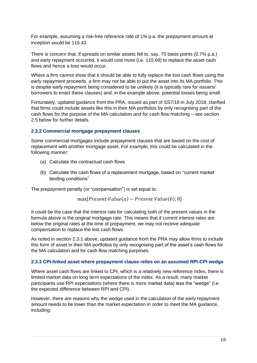For example, assuming a risk-free reference rate of 1% p.a. the prepayment amount at inception would be 115.43.

There is concern that, if spreads on similar assets fell to, say, 70 basis points (0.7% p.a.) and early repayment occurred, it would cost more (i.e. 115.69) to replace the asset cash flows and hence a loss would occur.

Where a firm cannot show that it should be able to fully replace the lost cash flows using the early repayment proceeds, a firm may not be able to put the asset into its MA portfolio. This is despite early repayment being considered to be unlikely (it is typically rare for issuers/ borrowers to enact these clauses) and, in the example above, potential losses being small.

Fortunately, updated guidance from the PRA, issued as part of SS7/18 in July 2018, clarified that firms could include assets like this in their MA portfolios by only recognising part of the cash flows for the purpose of the MA calculation and for cash flow matching – see section 2.5 below for further details.

#### **2.3.2 Commercial mortgage prepayment clauses**

Some commercial mortgages include prepayment clauses that are based on the cost of replacement with another mortgage asset. For example, this could be calculated in the following manner:

- (a) Calculate the contractual cash flows
- (b) Calculate the cash flows of a replacement mortgage, based on "current market lending conditions"

The prepayment penalty (or "compensation") is set equal to:

$$
\max[Present\ Value(a) - Present\ Value(b); 0]
$$

It could be the case that the interest rate for calculating both of the present values in the formula above is the original mortgage rate. This means that if current interest rates are below the original rates at the time of prepayment, we may not receive adequate compensation to replace the lost cash flows.

As noted in section 2.3.1 above, updated guidance from the PRA may allow firms to include this form of asset in their MA portfolios by only recognising part of the asset's cash flows for the MA calculation and for cash flow matching purposes.

#### **2.3.3 CPI-linked asset where prepayment clause relies on an assumed RPI-CPI wedge**

Where asset cash flows are linked to CPI, which is a relatively new reference index, there is limited market data on long term expectations of the index. As a result, many market participants use RPI expectations (where there is more market data) less the "wedge" (i.e. the expected difference between RPI and CPI).

However, there are reasons why the wedge used in the calculation of the early repayment amount needs to be lower than the market expectation in order to meet the MA guidance, including: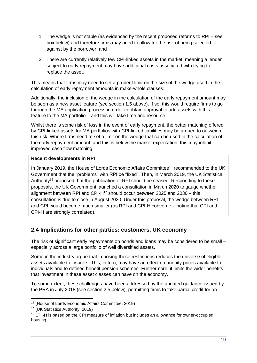- 1. The wedge is not stable (as evidenced by the recent proposed reforms to RPI see box below) and therefore firms may need to allow for the risk of being selected against by the borrower; and
- 2. There are currently relatively few CPI-linked assets in the market, meaning a lender subject to early repayment may have additional costs associated with trying to replace the asset.

This means that firms may need to set a prudent limit on the size of the wedge used in the calculation of early repayment amounts in make-whole clauses.

Additionally, the inclusion of the wedge in the calculation of the early repayment amount may be seen as a new asset feature (see section 1.5 above). If so, this would require firms to go through the MA application process in order to obtain approval to add assets with this feature to the MA portfolio – and this will take time and resource.

Whilst there is some risk of loss in the event of early repayment, the better matching offered by CPI-linked assets for MA portfolios with CPI-linked liabilities may be argued to outweigh this risk. Where firms need to set a limit on the wedge that can be used in the calculation of the early repayment amount, and this is below the market expectation, this may inhibit improved cash flow matching.

## **Recent developments in RPI**

In January 2019, the House of Lords Economic Affairs Committee<sup>15</sup> recommended to the UK Government that the "problems" with RPI be "fixed". Then, in March 2019, the UK Statistical Authority<sup>16</sup> proposed that the publication of RPI should be ceased. Responding to these proposals, the UK Government launched a consultation in March 2020 to gauge whether alignment between RPI and CPI-H $17$  should occur between 2025 and 2030 – this consultation is due to close in August 2020. Under this proposal, the wedge between RPI and CPI would become much smaller (as RPI and CPI-H converge – noting that CPI and CPI-H are strongly correlated).

## <span id="page-18-0"></span>**2.4 Implications for other parties: customers, UK economy**

The risk of significant early repayments on bonds and loans may be considered to be small – especially across a large portfolio of well diversified assets.

Some in the industry argue that imposing these restrictions reduces the universe of eligible assets available to insurers. This, in turn, may have an effect on annuity prices available to individuals and to defined benefit pension schemes. Furthermore, it limits the wider benefits that investment in these asset classes can have on the economy.

To some extent, these challenges have been addressed by the updated guidance issued by the PRA in July 2018 (see section 2.5 below), permitting firms to take partial credit for an

<sup>15</sup> (House of Lords Economic Affairs Committee, 2019)

<sup>16</sup> (UK Statistics Authority, 2019)

<sup>&</sup>lt;sup>17</sup> CPI-H is based on the CPI measure of inflation but includes an allowance for owner-occupied housing.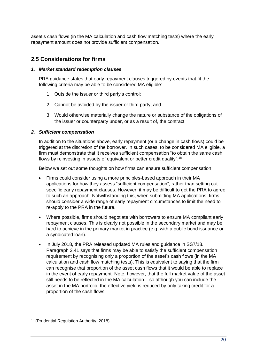asset's cash flows (in the MA calculation and cash flow matching tests) where the early repayment amount does not provide sufficient compensation.

## <span id="page-19-0"></span>**2.5 Considerations for firms**

#### *1. Market standard redemption clauses*

PRA guidance states that early repayment clauses triggered by events that fit the following criteria may be able to be considered MA eligible:

- 1. Outside the issuer or third party's control;
- 2. Cannot be avoided by the issuer or third party; and
- 3. Would otherwise materially change the nature or substance of the obligations of the issuer or counterparty under, or as a result of, the contract.

#### *2. Sufficient compensation*

In addition to the situations above, early repayment (or a change in cash flows) could be triggered at the discretion of the borrower. In such cases, to be considered MA eligible, a firm must demonstrate that it receives sufficient compensation "to obtain the same cash flows by reinvesting in assets of equivalent or better credit quality".<sup>18</sup>

Below we set out some thoughts on how firms can ensure sufficient compensation.

- Firms could consider using a more principles-based approach in their MA applications for how they assess "sufficient compensation", rather than setting out specific early repayment clauses. However, it may be difficult to get the PRA to agree to such an approach. Notwithstanding this, when submitting MA applications, firms should consider a wide range of early repayment circumstances to limit the need to re-apply to the PRA in the future.
- Where possible, firms should negotiate with borrowers to ensure MA compliant early repayment clauses. This is clearly not possible in the secondary market and may be hard to achieve in the primary market in practice (e.g. with a public bond issuance or a syndicated loan).
- In July 2018, the PRA released updated MA rules and guidance in SS7/18. Paragraph 2.41 says that firms may be able to satisfy the sufficient compensation requirement by recognising only a proportion of the asset's cash flows (in the MA calculation and cash flow matching tests). This is equivalent to saying that the firm can recognise that proportion of the asset cash flows that it would be able to replace in the event of early repayment. Note, however, that the full market value of the asset still needs to be reflected in the MA calculation – so although you can include the asset in the MA portfolio, the effective yield is reduced by only taking credit for a proportion of the cash flows.

<sup>18</sup> (Prudential Regulation Authority, 2018)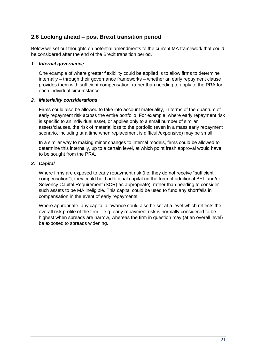## <span id="page-20-0"></span>**2.6 Looking ahead – post Brexit transition period**

Below we set out thoughts on potential amendments to the current MA framework that could be considered after the end of the Brexit transition period.

## *1. Internal governance*

One example of where greater flexibility could be applied is to allow firms to determine internally – through their governance frameworks – whether an early repayment clause provides them with sufficient compensation, rather than needing to apply to the PRA for each individual circumstance.

## *2. Materiality considerations*

Firms could also be allowed to take into account materiality, in terms of the quantum of early repayment risk across the entire portfolio. For example, where early repayment risk is specific to an individual asset, or applies only to a small number of similar assets/clauses, the risk of material loss to the portfolio (even in a mass early repayment scenario, including at a time when replacement is difficult/expensive) may be small.

In a similar way to making minor changes to internal models, firms could be allowed to determine this internally, up to a certain level, at which point fresh approval would have to be sought from the PRA.

## *3. Capital*

Where firms are exposed to early repayment risk (i.e. they do not receive "sufficient compensation"), they could hold additional capital (in the form of additional BEL and/or Solvency Capital Requirement (SCR) as appropriate), rather than needing to consider such assets to be MA ineligible. This capital could be used to fund any shortfalls in compensation in the event of early repayments.

Where appropriate, any capital allowance could also be set at a level which reflects the overall risk profile of the firm – e.g. early repayment risk is normally considered to be highest when spreads are narrow, whereas the firm in question may (at an overall level) be exposed to spreads widening.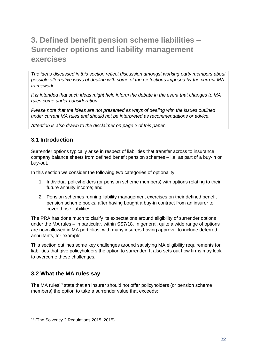## <span id="page-21-0"></span>**3. Defined benefit pension scheme liabilities – Surrender options and liability management exercises**

*The ideas discussed in this section reflect discussion amongst working party members about possible alternative ways of dealing with some of the restrictions imposed by the current MA framework.*

*It is intended that such ideas might help inform the debate in the event that changes to MA rules come under consideration.*

*Please note that the ideas are not presented as ways of dealing with the issues outlined under current MA rules and should not be interpreted as recommendations or advice.*

*Attention is also drawn to the disclaimer on page 2 of this paper.*

## <span id="page-21-1"></span>**3.1 Introduction**

Surrender options typically arise in respect of liabilities that transfer across to insurance company balance sheets from defined benefit pension schemes – i.e. as part of a buy-in or buy-out.

In this section we consider the following two categories of optionality:

- 1. Individual policyholders (or pension scheme members) with options relating to their future annuity income; and
- 2. Pension schemes running liability management exercises on their defined benefit pension scheme books, after having bought a buy-in contract from an insurer to cover those liabilities.

The PRA has done much to clarify its expectations around eligibility of surrender options under the MA rules – in particular, within SS7/18. In general, quite a wide range of options are now allowed in MA portfolios, with many insurers having approval to include deferred annuitants, for example.

This section outlines some key challenges around satisfying MA eligibility requirements for liabilities that give policyholders the option to surrender. It also sets out how firms may look to overcome these challenges.

## <span id="page-21-2"></span>**3.2 What the MA rules say**

The MA rules<sup>19</sup> state that an insurer should not offer policyholders (or pension scheme members) the option to take a surrender value that exceeds:

<sup>19</sup> (The Solvency 2 Regulations 2015, 2015)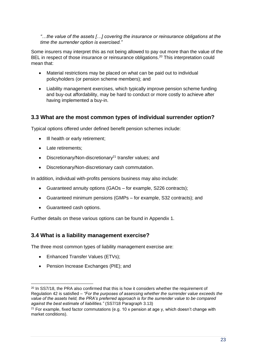*"…the value of the assets […] covering the insurance or reinsurance obligations at the time the surrender option is exercised."*

Some insurers may interpret this as not being allowed to pay out more than the value of the BEL in respect of those insurance or reinsurance obligations.<sup>20</sup> This interpretation could mean that:

- Material restrictions may be placed on what can be paid out to individual policyholders (or pension scheme members); and
- Liability management exercises, which typically improve pension scheme funding and buy-out affordability, may be hard to conduct or more costly to achieve after having implemented a buy-in.

## <span id="page-22-0"></span>**3.3 What are the most common types of individual surrender option?**

Typical options offered under defined benefit pension schemes include:

- Ill health or early retirement;
- Late retirements:
- Discretionary/Non-discretionary<sup>21</sup> transfer values; and
- Discretionary/Non-discretionary cash commutation.

In addition, individual with-profits pensions business may also include:

- Guaranteed annuity options (GAOs for example, S226 contracts);
- Guaranteed minimum pensions (GMPs for example, S32 contracts); and
- Guaranteed cash options.

Further details on these various options can be found in Appendix 1.

## <span id="page-22-1"></span>**3.4 What is a liability management exercise?**

The three most common types of liability management exercise are:

- Enhanced Transfer Values (ETVs);
- Pension Increase Exchanges (PIE); and

 $20$  In SS7/18, the PRA also confirmed that this is how it considers whether the requirement of Regulation 42 is satisfied – *"For the purposes of assessing whether the surrender value exceeds the value of the assets held, the PRA's preferred approach is for the surrender value to be compared against the best estimate of liabilities."* (SS7/18 Paragraph 3.13)

<sup>&</sup>lt;sup>21</sup> For example, fixed factor commutations (e.g. 10 x pension at age y, which doesn't change with market conditions).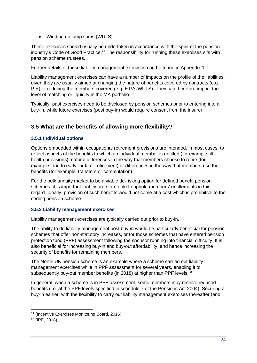• Winding up lump sums (WULS).

These exercises should usually be undertaken in accordance with the spirit of the pension industry's Code of Good Practice.<sup>22</sup> The responsibility for running these exercises sits with pension scheme trustees.

Further details of these liability management exercises can be found in Appendix 1.

Liability management exercises can have a number of impacts on the profile of the liabilities, given they are usually aimed at changing the nature of benefits covered by contracts (e.g. PIE) or reducing the members covered (e.g. ETVs/WULS). They can therefore impact the level of matching or liquidity in the MA portfolio.

Typically, past exercises need to be disclosed by pension schemes prior to entering into a buy-in, while future exercises (post buy-in) would require consent from the insurer.

## <span id="page-23-0"></span>**3.5 What are the benefits of allowing more flexibility?**

## **3.5.1 Individual options**

Options embedded within occupational retirement provisions are intended, in most cases, to reflect aspects of the benefits to which an individual member is entitled (for example, illhealth provisions), natural differences in the way that members choose to retire (for example, due to early- or late- retirement) or differences in the way that members use their benefits (for example, transfers or commutation).

For the bulk annuity market to be a viable de-risking option for defined benefit pension schemes, it is important that insurers are able to uphold members' entitlements in this regard. Ideally, provision of such benefits would not come at a cost which is prohibitive to the ceding pension scheme.

## **3.5.2 Liability management exercises**

Liability management exercises are typically carried out prior to buy-in.

The ability to do liability management post buy-in would be particularly beneficial for pension schemes that offer non-statutory increases, or for those schemes that have entered pension protection fund (PPF) assessment following the sponsor running into financial difficulty. It is also beneficial for increasing buy-in and buy-out affordability, and hence increasing the security of benefits for remaining members.

The Nortel UK pension scheme is an example where a scheme carried out liability management exercises while in PPF assessment for several years, enabling it to subsequently buy-out member benefits (in 2018) at higher than PPF levels.<sup>23</sup>

In general, when a scheme is in PPF assessment, some members may receive reduced benefits (i.e. at the PPF levels specified in schedule 7 of the Pensions Act 2004). Securing a buy-in earlier, with the flexibility to carry out liability management exercises thereafter (and

<sup>22</sup> (Incentive Exercises Monitoring Board, 2016)

<sup>23</sup> (IPE, 2018)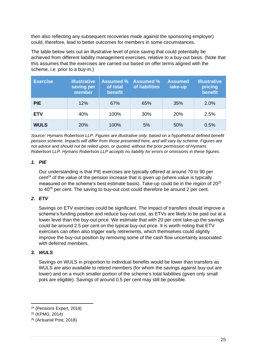then also reflecting any subsequent recoveries made against the sponsoring employer) could, therefore, lead to better outcomes for members in some circumstances.

The table below sets out an illustrative level of price saving that could potentially be achieved from different liability management exercises, relative to a buy-out basis. (Note that this assumes that the exercises are carried out based on offer terms aligned with the scheme, i.e. prior to a buy-in.)

| <b>Exercise</b> | <b>Illustrative</b><br>saving per<br>member | <b>Assumed %</b><br>of total<br>benefit | <b>Assumed %</b><br>of liabilities | <b>Assumed</b><br>take-up | <b>Illustrative</b><br>pricing<br>benefit |
|-----------------|---------------------------------------------|-----------------------------------------|------------------------------------|---------------------------|-------------------------------------------|
| <b>PIE</b>      | 12%                                         | 67%                                     | 65%                                | 35%                       | 2.0%                                      |
| <b>ETV</b>      | 40%                                         | 100%                                    | 30%                                | <b>20%</b>                | 2.5%                                      |
| <b>WULS</b>     | <b>20%</b>                                  | 100%                                    | 5%                                 | 50%                       | 0.5%                                      |

*Source: Hymans Robertson LLP. Figures are illustrative only, based on a hypothetical defined benefit pension scheme. Impacts will differ from those presented here, and will vary by scheme. Figures are not advice and should not be relied upon, or quoted, without the prior permission of Hymans Robertson LLP. Hymans Robertson LLP accepts no liability for errors or omissions in these figures.*

## *1. PIE*

Our understanding is that PIE exercises are typically offered at around 70 to 90 per  $cent<sup>24</sup>$  of the value of the pension increase that is given up (where value is typically measured on the scheme's best estimate basis). Take-up could be in the region of 20<sup>25</sup> to 40<sup>26</sup> per cent. The saving to buy-out cost could therefore be around 2 per cent.

## *2. ETV*

Savings on ETV exercises could be significant. The impact of transfers should improve a scheme's funding position and reduce buy-out cost, as ETVs are likely to be paid out at a lower level than the buy-out price. We estimate that with 20 per cent take-up the savings could be around 2.5 per cent on the typical buy-out price. It is worth noting that ETV exercises can often also trigger early retirements, which themselves could slightly improve the buy-out position by removing some of the cash flow uncertainty associated with deferred members.

## *3. WULS*

Savings on WULS in proportion to individual benefits would be lower than transfers as WULS are also available to retired members (for whom the savings against buy-out are lower) and on a much smaller portion of the scheme's total liabilities (given only small pots are eligible). Savings of around 0.5 per cent may still be possible.

<sup>24</sup> (Pensions Expert, 2018)

<sup>25</sup> (KPMG, 2014)

<sup>26</sup> (Actuarial Post, 2018)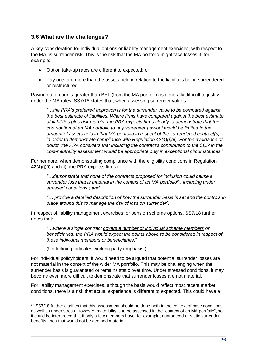## <span id="page-25-0"></span>**3.6 What are the challenges?**

A key consideration for individual options or liability management exercises, with respect to the MA, is surrender risk. This is the risk that the MA portfolio might face losses if, for example:

- Option take-up rates are different to expected: or
- Pay-outs are more than the assets held in relation to the liabilities being surrendered or restructured.

Paying out amounts greater than BEL (from the MA portfolio) is generally difficult to justify under the MA rules. SS7/18 states that, when assessing surrender values:

"…*the PRA's preferred approach is for the surrender value to be compared against the best estimate of liabilities. Where firms have compared against the best estimate of liabilities plus risk margin, the PRA expects firms clearly to demonstrate that the contribution of an MA portfolio to any surrender pay-out would be limited to the amount of assets held in that MA portfolio in respect of the surrendered contract(s), in order to demonstrate compliance with Regulation 42(4)(j)(ii). For the avoidance of doubt, the PRA considers that including the contract's contribution to the SCR in the cost-neutrality assessment would be appropriate only in exceptional circumstances.*"

Furthermore, when demonstrating compliance with the eligibility conditions in Regulation 42(4)(j)(i) and (ii), the PRA expects firms to:

*"…demonstrate that none of the contracts proposed for inclusion could cause a surrender loss that is material in the context of an MA portfolio*<sup>27</sup>*, including under stressed conditions"; and*

*"… provide a detailed description of how the surrender basis is set and the controls in place around this to manage the risk of loss on surrender".* 

In respect of liability management exercises, or pension scheme options, SS7/18 further notes that:

"…*where a single contract covers a number of individual scheme members or beneficiaries, the PRA would expect the points above to be considered in respect of these individual members or beneficiaries*."

(Underlining indicates working party emphasis.)

For individual policyholders, it would need to be argued that potential surrender losses are not material in the context of the wider MA portfolio. This may be challenging when the surrender basis is guaranteed or remains static over time. Under stressed conditions, it may become even more difficult to demonstrate that surrender losses are not material.

For liability management exercises, although the basis would reflect most recent market conditions, there is a risk that actual experience is different to expected. This could have a

<sup>&</sup>lt;sup>27</sup> SS7/18 further clarifies that this assessment should be done both in the context of base conditions, as well as under stress. However, materiality is to be assessed in the "context of an MA portfolio", so it could be interpreted that if only a few members have, for example, guaranteed or static surrender benefits, then that would not be deemed material.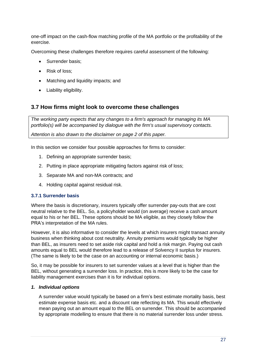one-off impact on the cash-flow matching profile of the MA portfolio or the profitability of the exercise.

Overcoming these challenges therefore requires careful assessment of the following:

- Surrender basis;
- Risk of loss;
- Matching and liquidity impacts; and
- Liability eligibility.

## <span id="page-26-0"></span>**3.7 How firms might look to overcome these challenges**

*The working party expects that any changes to a firm's approach for managing its MA portfolio(s) will be accompanied by dialogue with the firm's usual supervisory contacts.*

*Attention is also drawn to the disclaimer on page 2 of this paper.*

In this section we consider four possible approaches for firms to consider:

- 1. Defining an appropriate surrender basis;
- 2. Putting in place appropriate mitigating factors against risk of loss;
- 3. Separate MA and non-MA contracts; and
- 4. Holding capital against residual risk.

#### **3.7.1 Surrender basis**

Where the basis is discretionary, insurers typically offer surrender pay-outs that are cost neutral relative to the BEL. So, a policyholder would (on average) receive a cash amount equal to his or her BEL. These options should be MA eligible, as they closely follow the PRA's interpretation of the MA rules.

However, it is also informative to consider the levels at which insurers might transact annuity business when thinking about cost neutrality. Annuity premiums would typically be higher than BEL, as insurers need to set aside risk capital and hold a risk margin. Paying out cash amounts equal to BEL would therefore lead to a release of Solvency II surplus for insurers. (The same is likely to be the case on an accounting or internal economic basis.)

So, it may be possible for insurers to set surrender values at a level that is higher than the BEL, without generating a surrender loss. In practice, this is more likely to be the case for liability management exercises than it is for individual options.

#### *1. Individual options*

A surrender value would typically be based on a firm's best estimate mortality basis, best estimate expense basis etc. and a discount rate reflecting its MA. This would effectively mean paying out an amount equal to the BEL on surrender. This should be accompanied by appropriate modelling to ensure that there is no material surrender loss under stress.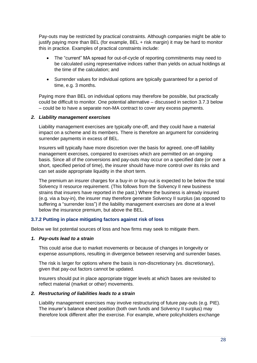Pay-outs may be restricted by practical constraints. Although companies might be able to justify paying more than BEL (for example, BEL + risk margin) it may be hard to monitor this in practice. Examples of practical constraints include:

- The "current" MA spread for out-of-cycle of reporting commitments may need to be calculated using representative indices rather than yields on actual holdings at the time of the calculation; and
- Surrender values for individual options are typically guaranteed for a period of time, e.g. 3 months.

Paying more than BEL on individual options may therefore be possible, but practically could be difficult to monitor. One potential alternative – discussed in section 3.7.3 below – could be to have a separate non-MA contract to cover any excess payments.

## *2. Liability management exercises*

Liability management exercises are typically one-off, and they could have a material impact on a scheme and its members. There is therefore an argument for considering surrender payments in excess of BEL.

Insurers will typically have more discretion over the basis for agreed, one-off liability management exercises, compared to exercises which are permitted on an ongoing basis. Since all of the conversions and pay-outs may occur on a specified date (or over a short, specified period of time), the insurer should have more control over its risks and can set aside appropriate liquidity in the short term.

The premium an insurer charges for a buy-in or buy-out is expected to be below the total Solvency II resource requirement. (This follows from the Solvency II new business strains that insurers have reported in the past.) Where the business is already insured (e.g. via a buy-in), the insurer may therefore generate Solvency II surplus (as opposed to suffering a "surrender loss") if the liability management exercises are done at a level below the insurance premium, but above the BEL.

## **3.7.2 Putting in place mitigating factors against risk of loss**

Below we list potential sources of loss and how firms may seek to mitigate them.

#### *1. Pay-outs lead to a strain*

This could arise due to market movements or because of changes in longevity or expense assumptions, resulting in divergence between reserving and surrender bases.

The risk is larger for options where the basis is non-discretionary (vs. discretionary), given that pay-out factors cannot be updated.

Insurers should put in place appropriate trigger levels at which bases are revisited to reflect material (market or other) movements.

#### *2. Restructuring of liabilities leads to a strain*

Liability management exercises may involve restructuring of future pay-outs (e.g. PIE). The insurer's balance sheet position (both own funds and Solvency II surplus) may therefore look different after the exercise. For example, where policyholders exchange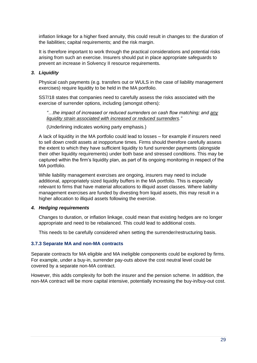inflation linkage for a higher fixed annuity, this could result in changes to: the duration of the liabilities; capital requirements; and the risk margin.

It is therefore important to work through the practical considerations and potential risks arising from such an exercise. Insurers should put in place appropriate safeguards to prevent an increase in Solvency II resource requirements.

## *3. Liquidity*

Physical cash payments (e.g. transfers out or WULS in the case of liability management exercises) require liquidity to be held in the MA portfolio.

SS7/18 states that companies need to carefully assess the risks associated with the exercise of surrender options, including (amongst others):

*"…the impact of increased or reduced surrenders on cash flow matching; and any liquidity strain associated with increased or reduced surrenders."*

(Underlining indicates working party emphasis.)

A lack of liquidity in the MA portfolio could lead to losses – for example if insurers need to sell down credit assets at inopportune times. Firms should therefore carefully assess the extent to which they have sufficient liquidity to fund surrender payments (alongside their other liquidity requirements) under both base and stressed conditions. This may be captured within the firm's liquidity plan, as part of its ongoing monitoring in respect of the MA portfolio.

While liability management exercises are ongoing, insurers may need to include additional, appropriately sized liquidity buffers in the MA portfolio. This is especially relevant to firms that have material allocations to illiquid asset classes. Where liability management exercises are funded by divesting from liquid assets, this may result in a higher allocation to illiquid assets following the exercise.

#### *4. Hedging requirements*

Changes to duration, or inflation linkage, could mean that existing hedges are no longer appropriate and need to be rebalanced. This could lead to additional costs.

This needs to be carefully considered when setting the surrender/restructuring basis.

#### **3.7.3 Separate MA and non-MA contracts**

Separate contracts for MA eligible and MA ineligible components could be explored by firms. For example, under a buy-in, surrender pay-outs above the cost neutral level could be covered by a separate non-MA contract.

However, this adds complexity for both the insurer and the pension scheme. In addition, the non-MA contract will be more capital intensive, potentially increasing the buy-in/buy-out cost.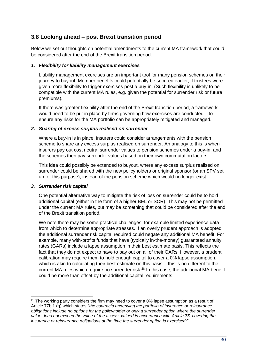## <span id="page-29-0"></span>**3.8 Looking ahead – post Brexit transition period**

Below we set out thoughts on potential amendments to the current MA framework that could be considered after the end of the Brexit transition period.

## *1. Flexibility for liability management exercises*

Liability management exercises are an important tool for many pension schemes on their journey to buyout. Member benefits could potentially be secured earlier, if trustees were given more flexibility to trigger exercises post a buy-in. (Such flexibility is unlikely to be compatible with the current MA rules, e.g. given the potential for surrender risk or future premiums).

If there was greater flexibility after the end of the Brexit transition period, a framework would need to be put in place by firms governing how exercises are conducted – to ensure any risks for the MA portfolio can be appropriately mitigated and managed.

## *2. Sharing of excess surplus realised on surrender*

Where a buy-in is in place, insurers could consider arrangements with the pension scheme to share any excess surplus realised on surrender. An analogy to this is when insurers pay out cost neutral surrender values to pension schemes under a buy-in, and the schemes then pay surrender values based on their own commutation factors.

This idea could possibly be extended to buyout, where any excess surplus realised on surrender could be shared with the new policyholders or original sponsor (or an SPV set up for this purpose), instead of the pension scheme which would no longer exist.

#### *3. Surrender risk capital*

One potential alternative way to mitigate the risk of loss on surrender could be to hold additional capital (either in the form of a higher BEL or SCR). This may not be permitted under the current MA rules, but may be something that could be considered after the end of the Brexit transition period.

We note there may be some practical challenges, for example limited experience data from which to determine appropriate stresses. If an overly prudent approach is adopted, the additional surrender risk capital required could negate any additional MA benefit. For example, many with-profits funds that have (typically in-the-money) guaranteed annuity rates (GARs) include a lapse assumption in their best estimate basis. This reflects the fact that they do not expect to have to pay out on all of their GARs. However, a prudent calibration may require them to hold enough capital to cover a 0% lapse assumption, which is akin to calculating their best estimate on this basis – this is no different to the current MA rules which require no surrender risk.<sup>28</sup> In this case, the additional MA benefit could be more than offset by the additional capital requirements.

 $28$  The working party considers the firm may need to cover a 0% lapse assumption as a result of Article 77b 1.(g) which states *"the contracts underlying the portfolio of insurance or reinsurance obligations include no options for the policyholder or only a surrender option where the surrender value does not exceed the value of the assets, valued in accordance with Article 75, covering the insurance or reinsurance obligations at the time the surrender option is exercised;"*.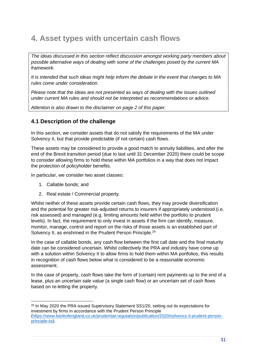## <span id="page-30-0"></span>**4. Asset types with uncertain cash flows**

*The ideas discussed in this section reflect discussion amongst working party members about possible alternative ways of dealing with some of the challenges posed by the current MA framework.*

*It is intended that such ideas might help inform the debate in the event that changes to MA rules come under consideration.*

*Please note that the ideas are not presented as ways of dealing with the issues outlined under current MA rules and should not be interpreted as recommendations or advice.*

*Attention is also drawn to the disclaimer on page 2 of this paper.*

## <span id="page-30-1"></span>**4.1 Description of the challenge**

In this section, we consider assets that do not satisfy the requirements of the MA under Solvency II, but that provide predictable (if not certain) cash flows.

These assets may be considered to provide a good match to annuity liabilities, and after the end of the Brexit transition period (due to last until 31 December 2020) there could be scope to consider allowing firms to hold these within MA portfolios in a way that does not impact the protection of policyholder benefits.

In particular, we consider two asset classes:

- 1. Callable bonds; and
- 2. Real estate / Commercial property.

Whilst neither of these assets provide certain cash flows, they may provide diversification and the potential for greater risk-adjusted returns to insurers if appropriately understood (i.e. risk assessed) and managed (e.g. limiting amounts held within the portfolio to prudent levels). In fact, the requirement to only invest in assets if the firm can identify, measure, monitor, manage, control and report on the risks of those assets is an established part of Solvency II, as enshrined in the Prudent Person Principle.<sup>29</sup>

In the case of callable bonds, any cash flow between the first call date and the final maturity date can be considered uncertain. Whilst collectively the PRA and industry have come up with a solution within Solvency II to allow firms to hold them within MA portfolios, this results in recognition of cash flows below what is considered to be a reasonable economic assessment.

In the case of property, cash flows take the form of (certain) rent payments up to the end of a lease, plus an uncertain sale value (a single cash flow) or an uncertain set of cash flows based on re-letting the property.

<sup>&</sup>lt;sup>29</sup> In May 2020 the PRA issued Supervisory Statement SS1/20, setting out its expectations for investment by firms in accordance with the Prudent Person Principle [\(https://www.bankofengland.co.uk/prudential-regulation/publication/2020/solvency-ii-prudent-person](https://eur03.safelinks.protection.outlook.com/?url=https%3A%2F%2Fwww.bankofengland.co.uk%2Fprudential-regulation%2Fpublication%2F2020%2Fsolvency-ii-prudent-person-principle-ss&data=02%7C01%7CRoss.Evans%40hymans.co.uk%7C8767c7f9ba3347e5bb8508d828c23031%7Ca2276d23b28149629c993c5c8d9895c5%7C0%7C0%7C637304161782454480&sdata=Sy26RBSvj3BSJy%2FPElp%2Fc9%2Bu3ygMl%2FDrC09LpVGAhTE%3D&reserved=0)[principle-ss\)](https://eur03.safelinks.protection.outlook.com/?url=https%3A%2F%2Fwww.bankofengland.co.uk%2Fprudential-regulation%2Fpublication%2F2020%2Fsolvency-ii-prudent-person-principle-ss&data=02%7C01%7CRoss.Evans%40hymans.co.uk%7C8767c7f9ba3347e5bb8508d828c23031%7Ca2276d23b28149629c993c5c8d9895c5%7C0%7C0%7C637304161782454480&sdata=Sy26RBSvj3BSJy%2FPElp%2Fc9%2Bu3ygMl%2FDrC09LpVGAhTE%3D&reserved=0).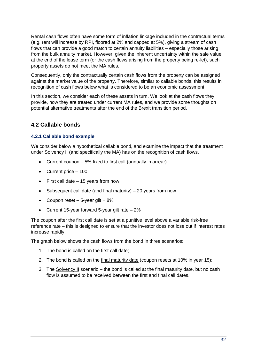Rental cash flows often have some form of inflation linkage included in the contractual terms (e.g. rent will increase by RPI, floored at 2% and capped at 5%), giving a stream of cash flows that can provide a good match to certain annuity liabilities – especially those arising from the bulk annuity market. However, given the inherent uncertainty within the sale value at the end of the lease term (or the cash flows arising from the property being re-let), such property assets do not meet the MA rules.

Consequently, only the contractually certain cash flows from the property can be assigned against the market value of the property. Therefore, similar to callable bonds, this results in recognition of cash flows below what is considered to be an economic assessment.

In this section, we consider each of these assets in turn. We look at the cash flows they provide, how they are treated under current MA rules, and we provide some thoughts on potential alternative treatments after the end of the Brexit transition period.

## <span id="page-31-0"></span>**4.2 Callable bonds**

## **4.2.1 Callable bond example**

We consider below a hypothetical callable bond, and examine the impact that the treatment under Solvency II (and specifically the MA) has on the recognition of cash flows.

- Current coupon 5% fixed to first call (annually in arrear)
- Current price 100
- First call date 15 years from now
- Subsequent call date (and final maturity) 20 years from now
- Coupon reset  $-5$ -year gilt  $+8\%$
- Current 15-year forward 5-year gilt rate  $-2\%$

The coupon after the first call date is set at a punitive level above a variable risk-free reference rate – this is designed to ensure that the investor does not lose out if interest rates increase rapidly.

The graph below shows the cash flows from the bond in three scenarios:

- 1. The bond is called on the first call date;
- 2. The bond is called on the final maturity date (coupon resets at 10% in year 15);
- 3. The Solvency II scenario the bond is called at the final maturity date, but no cash flow is assumed to be received between the first and final call dates.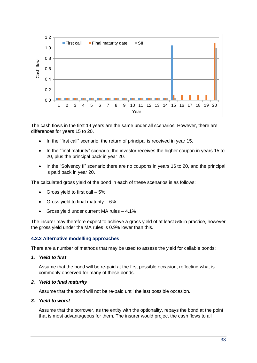

The cash flows in the first 14 years are the same under all scenarios. However, there are differences for years 15 to 20.

- In the "first call" scenario, the return of principal is received in year 15.
- In the "final maturity" scenario, the investor receives the higher coupon in years 15 to 20, plus the principal back in year 20.
- In the "Solvency II" scenario there are no coupons in years 16 to 20, and the principal is paid back in year 20.

The calculated gross yield of the bond in each of these scenarios is as follows:

- Gross yield to first call  $-5\%$
- Gross yield to final maturity  $-6\%$
- Gross yield under current MA rules 4.1%

The insurer may therefore expect to achieve a gross yield of at least 5% in practice, however the gross yield under the MA rules is 0.9% lower than this.

#### **4.2.2 Alternative modelling approaches**

There are a number of methods that may be used to assess the yield for callable bonds:

*1. Yield to first*

Assume that the bond will be re-paid at the first possible occasion, reflecting what is commonly observed for many of these bonds.

#### *2. Yield to final maturity*

Assume that the bond will not be re-paid until the last possible occasion.

#### *3. Yield to worst*

Assume that the borrower, as the entity with the optionality, repays the bond at the point that is most advantageous for them. The insurer would project the cash flows to all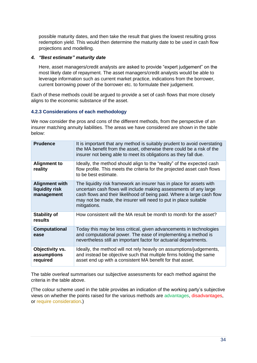possible maturity dates, and then take the result that gives the lowest resulting gross redemption yield. This would then determine the maturity date to be used in cash flow projections and modelling.

## *4. "Best estimate" maturity date*

Here, asset managers/credit analysts are asked to provide "expert judgement" on the most likely date of repayment. The asset managers/credit analysts would be able to leverage information such as current market practice, indications from the borrower, current borrowing power of the borrower etc. to formulate their judgement.

Each of these methods could be argued to provide a set of cash flows that more closely aligns to the economic substance of the asset.

## **4.2.3 Considerations of each methodology**

We now consider the pros and cons of the different methods, from the perspective of an insurer matching annuity liabilities. The areas we have considered are shown in the table below:

| <b>Prudence</b>                                       | It is important that any method is suitably prudent to avoid overstating<br>the MA benefit from the asset, otherwise there could be a risk of the<br>insurer not being able to meet its obligations as they fall due.                                                                                  |
|-------------------------------------------------------|--------------------------------------------------------------------------------------------------------------------------------------------------------------------------------------------------------------------------------------------------------------------------------------------------------|
| <b>Alignment to</b><br>reality                        | Ideally, the method should align to the "reality" of the expected cash<br>flow profile. This meets the criteria for the projected asset cash flows<br>to be best estimate.                                                                                                                             |
| <b>Alignment with</b><br>liquidity risk<br>management | The liquidity risk framework an insurer has in place for assets with<br>uncertain cash flows will include making assessments of any large<br>cash flows and their likelihood of being paid. Where a large cash flow<br>may not be made, the insurer will need to put in place suitable<br>mitigations. |
| <b>Stability of</b><br>results                        | How consistent will the MA result be month to month for the asset?                                                                                                                                                                                                                                     |
| <b>Computational</b><br>ease                          | Today this may be less critical, given advancements in technologies<br>and computational power. The ease of implementing a method is<br>nevertheless still an important factor for actuarial departments.                                                                                              |
| Objectivity vs.<br>assumptions<br>required            | Ideally, the method will not rely heavily on assumptions/judgements,<br>and instead be objective such that multiple firms holding the same<br>asset end up with a consistent MA benefit for that asset.                                                                                                |

The table overleaf summarises our subjective assessments for each method against the criteria in the table above.

(The colour scheme used in the table provides an indication of the working party's subjective views on whether the points raised for the various methods are advantages, disadvantages, or require consideration.)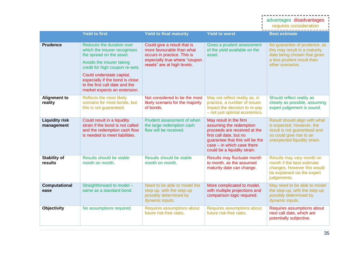|                                     |                                                                                                                                                                                                                                                                                         |                                                                                                                                                         |                                                                                                                                                                                                                 | advantages disadvantages<br>requires consideration                                                                                                     |
|-------------------------------------|-----------------------------------------------------------------------------------------------------------------------------------------------------------------------------------------------------------------------------------------------------------------------------------------|---------------------------------------------------------------------------------------------------------------------------------------------------------|-----------------------------------------------------------------------------------------------------------------------------------------------------------------------------------------------------------------|--------------------------------------------------------------------------------------------------------------------------------------------------------|
|                                     | <b>Yield to first</b>                                                                                                                                                                                                                                                                   | <b>Yield to final maturity</b>                                                                                                                          | <b>Yield to worst</b>                                                                                                                                                                                           | <b>Best estimate</b>                                                                                                                                   |
| <b>Prudence</b>                     | Reduces the duration over<br>which the insurer recognises<br>the spread on the asset.<br>Avoids the insurer taking<br>credit for high coupon re-sets.<br>Could understate capital,<br>especially if the bond is close<br>to the first call date and the<br>market expects an extension. | Could give a result that is<br>more favourable than what<br>occurs in practice. This is<br>especially true where "coupon<br>resets" are at high levels. | Gives a prudent assessment<br>of the yield available on the<br>asset.                                                                                                                                           | No guarantee of prudence, as<br>this may result in a maturity<br>date being chosen that gives<br>a less prudent result than<br>other scenarios.        |
| <b>Alignment to</b><br>reality      | Reflects the most likely<br>scenario for most bonds, but<br>this is not guaranteed.                                                                                                                                                                                                     | Not considered to be the most<br>likely scenario for the majority<br>of bonds.                                                                          | May not reflect reality as, in<br>practice, a number of issues<br>impact the decision to re-pay<br>- not just optimal economics.                                                                                | Should reflect reality as<br>closely as possible, assuming<br>expert judgement is sound.                                                               |
| <b>Liquidity risk</b><br>management | Could result in a liquidity<br>strain if the bond is not called<br>and the redemption cash flow<br>is needed to meet liabilities.                                                                                                                                                       | Prudent assessment of when<br>the large redemption cash<br>flow will be received.                                                                       | May result in the firm<br>assuming the redemption<br>proceeds are received at the<br>first call date, but no<br>guarantee that this will be the<br>$case - in$ which case there<br>could be a liquidity strain. | Result should align with what<br>is expected. However, the<br>result is not guaranteed and<br>so could give rise to an<br>unexpected liquidity strain. |
| <b>Stability of</b><br>results      | Results should be stable<br>month on month.                                                                                                                                                                                                                                             | Results should be stable<br>month on month.                                                                                                             | Results may fluctuate month<br>to month, as the assumed<br>maturity date can change.                                                                                                                            | Results may vary month on<br>month if the best estimate<br>changes, however this would<br>be explained via the expert<br>judgements.                   |
| Computational<br>ease               | Straightforward to model -<br>same as a standard bond.                                                                                                                                                                                                                                  | Need to be able to model the<br>step-up, with the step-up<br>possibly determined by<br>dynamic inputs.                                                  | More complicated to model,<br>with multiple projections and<br>comparison logic required.                                                                                                                       | May need to be able to model<br>the step-up, with the step-up<br>possibly determined by<br>dynamic inputs.                                             |
| Objectivity                         | No assumptions required.                                                                                                                                                                                                                                                                | Requires assumptions about<br>future risk-free rates.                                                                                                   | Requires assumptions about<br>future risk-free rates.                                                                                                                                                           | Requires assumptions about<br>next call date, which are<br>potentially subjective.                                                                     |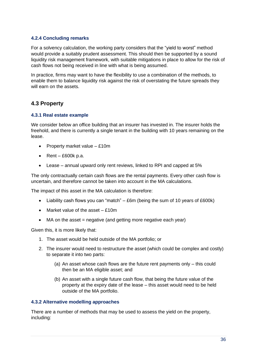## **4.2.4 Concluding remarks**

For a solvency calculation, the working party considers that the "yield to worst" method would provide a suitably prudent assessment. This should then be supported by a sound liquidity risk management framework, with suitable mitigations in place to allow for the risk of cash flows not being received in line with what is being assumed.

In practice, firms may want to have the flexibility to use a combination of the methods, to enable them to balance liquidity risk against the risk of overstating the future spreads they will earn on the assets.

## <span id="page-35-0"></span>**4.3 Property**

## **4.3.1 Real estate example**

We consider below an office building that an insurer has invested in. The insurer holds the freehold, and there is currently a single tenant in the building with 10 years remaining on the lease.

- Property market value £10m
- Rent  $£600k$  p.a.
- Lease annual upward only rent reviews, linked to RPI and capped at 5%

The only contractually certain cash flows are the rental payments. Every other cash flow is uncertain, and therefore cannot be taken into account in the MA calculations.

The impact of this asset in the MA calculation is therefore:

- Liability cash flows you can "match"  $-$  £6m (being the sum of 10 years of £600k)
- Market value of the asset £10m
- MA on the asset  $=$  negative (and getting more negative each year)

Given this, it is more likely that:

- 1. The asset would be held outside of the MA portfolio; or
- 2. The insurer would need to restructure the asset (which could be complex and costly) to separate it into two parts:
	- (a) An asset whose cash flows are the future rent payments only this could then be an MA eligible asset; and
	- (b) An asset with a single future cash flow, that being the future value of the property at the expiry date of the lease – this asset would need to be held outside of the MA portfolio.

#### **4.3.2 Alternative modelling approaches**

There are a number of methods that may be used to assess the yield on the property, including: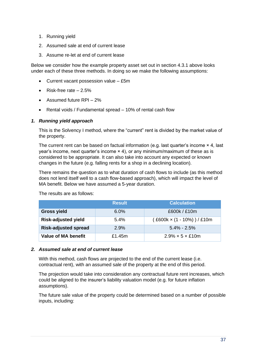- 1. Running yield
- 2. Assumed sale at end of current lease
- 3. Assume re-let at end of current lease

Below we consider how the example property asset set out in section 4.3.1 above looks under each of these three methods. In doing so we make the following assumptions:

- Current vacant possession value £5m
- Risk-free rate  $-2.5%$
- Assumed future RPI 2%
- Rental voids / Fundamental spread 10% of rental cash flow

#### *1. Running yield approach*

This is the Solvency I method, where the "current" rent is divided by the market value of the property.

The current rent can be based on factual information (e.g. last quarter's income × 4, last year's income, next quarter's income × 4), or any minimum/maximum of these as is considered to be appropriate. It can also take into account any expected or known changes in the future (e.g. falling rents for a shop in a declining location).

There remains the question as to what duration of cash flows to include (as this method does not lend itself well to a cash flow-based approach), which will impact the level of MA benefit. Below we have assumed a 5-year duration.

|                             | <b>Result</b> | <b>Calculation</b>           |
|-----------------------------|---------------|------------------------------|
| <b>Gross yield</b>          | 6.0%          | £600k / £10m                 |
| <b>Risk-adjusted yield</b>  | 5.4%          | (£600k × (1 - 10%)) / £10m   |
| <b>Risk-adjusted spread</b> | 2.9%          | $5.4\% - 2.5\%$              |
| <b>Value of MA benefit</b>  | £1.45m        | $2.9\% \times 5 \times$ £10m |

The results are as follows:

#### *2. Assumed sale at end of current lease*

With this method, cash flows are projected to the end of the current lease (i.e. contractual rent), with an assumed sale of the property at the end of this period.

The projection would take into consideration any contractual future rent increases, which could be aligned to the insurer's liability valuation model (e.g. for future inflation assumptions).

The future sale value of the property could be determined based on a number of possible inputs, including: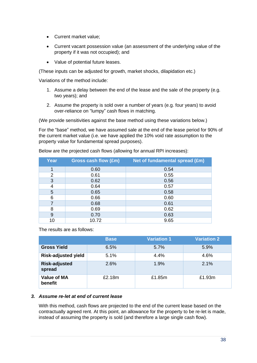- Current market value;
- Current vacant possession value (an assessment of the underlying value of the property if it was not occupied); and
- Value of potential future leases.

(These inputs can be adjusted for growth, market shocks, dilapidation etc.)

Variations of the method include:

- 1. Assume a delay between the end of the lease and the sale of the property (e.g. two years); and
- 2. Assume the property is sold over a number of years (e.g. four years) to avoid over-reliance on "lumpy" cash flows in matching.

(We provide sensitivities against the base method using these variations below.)

For the "base" method, we have assumed sale at the end of the lease period for 90% of the current market value (i.e. we have applied the 10% void rate assumption to the property value for fundamental spread purposes).

| Year | Gross cash flow (£m) | Net of fundamental spread (£m) |
|------|----------------------|--------------------------------|
|      | 0.60                 | 0.54                           |
| 2    | 0.61                 | 0.55                           |
| 3    | 0.62                 | 0.56                           |
| 4    | 0.64                 | 0.57                           |
| 5    | 0.65                 | 0.58                           |
| 6    | 0.66                 | 0.60                           |
|      | 0.68                 | 0.61                           |
| 8    | 0.69                 | 0.62                           |
| 9    | 0.70                 | 0.63                           |
| 10   | 10.72                | 9.65                           |

Below are the projected cash flows (allowing for annual RPI increases):

The results are as follows:

|                                | <b>Base</b> | <b>Variation 1</b> | <b>Variation 2</b> |
|--------------------------------|-------------|--------------------|--------------------|
| <b>Gross Yield</b>             | 6.5%        | 5.7%               | 5.9%               |
| <b>Risk-adjusted yield</b>     | 5.1%        | 4.4%               | 4.6%               |
| <b>Risk-adjusted</b><br>spread | 2.6%        | 1.9%               | 2.1%               |
| <b>Value of MA</b><br>benefit  | £2.18m      | £1.85m             | £1.93m             |

## *3. Assume re-let at end of current lease*

With this method, cash flows are projected to the end of the current lease based on the contractually agreed rent. At this point, an allowance for the property to be re-let is made, instead of assuming the property is sold (and therefore a large single cash flow).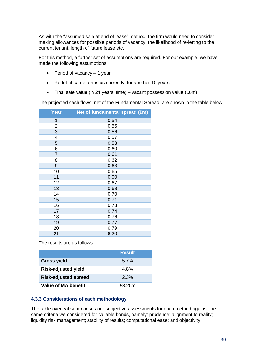As with the "assumed sale at end of lease" method, the firm would need to consider making allowances for possible periods of vacancy, the likelihood of re-letting to the current tenant, length of future lease etc.

For this method, a further set of assumptions are required. For our example, we have made the following assumptions:

- Period of vacancy 1 year
- Re-let at same terms as currently, for another 10 years
- Final sale value (in 21 years' time) vacant possession value (£6m)

The projected cash flows, net of the Fundamental Spread, are shown in the table below:

| <b>Year</b>    | Net of fundamental spread (£m) |
|----------------|--------------------------------|
| 1              | 0.54                           |
| $\overline{2}$ | 0.55                           |
| 3              | 0.56                           |
| 4              | 0.57                           |
| 5              | 0.58                           |
| 6              | 0.60                           |
| $\overline{7}$ | 0.61                           |
| 8              | 0.62                           |
| 9              | 0.63                           |
| 10             | 0.65                           |
| 11             | 0.00                           |
| 12             | 0.67                           |
| 13             | 0.68                           |
| 14             | 0.70                           |
| 15             | 0.71                           |
| 16             | 0.73                           |
| 17             | 0.74                           |
| 18             | 0.76                           |
| 19             | 0.77                           |
| 20             | 0.79                           |
| 21             | 6.20                           |

The results are as follows:

|                             | <b>Result</b> |
|-----------------------------|---------------|
| <b>Gross yield</b>          | 5.7%          |
| <b>Risk-adjusted yield</b>  | 4.8%          |
| <b>Risk-adjusted spread</b> | 2.3%          |
| Value of MA benefit         | £3.25m        |

## **4.3.3 Considerations of each methodology**

The table overleaf summarises our subjective assessments for each method against the same criteria we considered for callable bonds, namely: prudence; alignment to reality; liquidity risk management; stability of results; computational ease; and objectivity.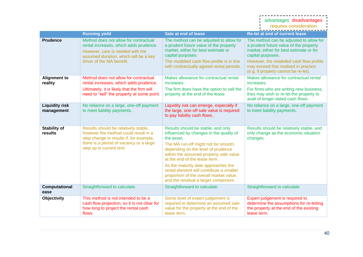|                                     |                                                                                                                                                                                                |                                                                                                                                                                                                                                                                                                                                                                                                                           | advantages disadvantages<br>requires consideration                                                                                                                                                                                                                           |
|-------------------------------------|------------------------------------------------------------------------------------------------------------------------------------------------------------------------------------------------|---------------------------------------------------------------------------------------------------------------------------------------------------------------------------------------------------------------------------------------------------------------------------------------------------------------------------------------------------------------------------------------------------------------------------|------------------------------------------------------------------------------------------------------------------------------------------------------------------------------------------------------------------------------------------------------------------------------|
|                                     | <b>Running yield</b>                                                                                                                                                                           | Sale at end of lease                                                                                                                                                                                                                                                                                                                                                                                                      | <b>Re-let at end of current lease</b>                                                                                                                                                                                                                                        |
| <b>Prudence</b>                     | Method does not allow for contractual<br>rental increases, which adds prudence.<br>However, care is needed with the<br>assumed duration, which will be a key<br>driver of the MA benefit.      | The method can be adjusted to allow for<br>a prudent future value of the property<br>market, either for best estimate or<br>capital purposes.<br>The modelled cash flow profile is in line<br>with contractually agreed rental periods.                                                                                                                                                                                   | The method can be adjusted to allow for<br>a prudent future value of the property<br>market, either for best estimate or for<br>capital purposes.<br>However, the modelled cash flow profile<br>may exceed that realised in practice<br>(e.g. if property cannot be re-let). |
| <b>Alignment to</b><br>reality      | Method does not allow for contractual<br>rental increases, which adds prudence.                                                                                                                | Makes allowance for contractual rental<br>increases.                                                                                                                                                                                                                                                                                                                                                                      | Makes allowance for contractual rental<br>increases.                                                                                                                                                                                                                         |
|                                     | Ultimately, it is likely that the firm will<br>need to "sell" the property at some point.                                                                                                      | The firm does have the option to sell the<br>property at the end of the lease.                                                                                                                                                                                                                                                                                                                                            | For firms who are writing new business,<br>they may wish to re-let the property to<br>avail of longer-dated cash flows.                                                                                                                                                      |
| <b>Liquidity risk</b><br>management | No reliance on a large, one-off payment<br>to meet liability payments.                                                                                                                         | Liquidity risk can emerge, especially if<br>the large, one-off sale value is required<br>to pay liability cash flows.                                                                                                                                                                                                                                                                                                     | No reliance on a large, one-off payment<br>to meet liability payments.                                                                                                                                                                                                       |
| <b>Stability of</b><br>results      | Results should be relatively stable,<br>however the method could result in a<br>step change in results if, for example,<br>there is a period of vacancy or a large<br>step up in current rent. | Results should be stable, and only<br>influenced by changes in the quality of<br>the asset.<br>The MA run-off might not be smooth,<br>depending on the level of prudence<br>within the assumed property sale value<br>at the end of the lease term.<br>As the maturity date approaches the<br>rental element will contribute a smaller<br>proportion of the overall market value,<br>and the residual a larger component. | Results should be relatively stable, and<br>only change as the economic situation<br>changes.                                                                                                                                                                                |
| Computational<br>ease               | Straightforward to calculate.                                                                                                                                                                  | Straightforward to calculate.                                                                                                                                                                                                                                                                                                                                                                                             | Straightforward to calculate.                                                                                                                                                                                                                                                |
| Objectivity                         | This method is not intended to be a<br>cash flow projection, so it is not clear for<br>how long to project the rental cash<br>flows.                                                           | Some level of expert judgement is<br>required to determine an assumed sale<br>value for the property at the end of the<br>lease term.                                                                                                                                                                                                                                                                                     | Expert judgement is required to<br>determine the assumptions for re-letting<br>the property at the end of the existing<br>lease term.                                                                                                                                        |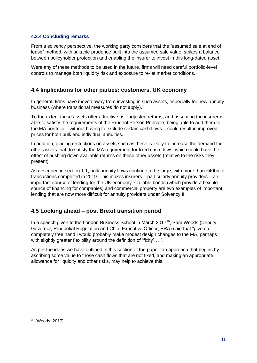## **4.3.4 Concluding remarks**

From a solvency perspective, the working party considers that the "assumed sale at end of lease" method, with suitable prudence built into the assumed sale value, strikes a balance between policyholder protection and enabling the insurer to invest in this long-dated asset.

Were any of these methods to be used in the future, firms will need careful portfolio-level controls to manage both liquidity risk and exposure to re-let market conditions.

## <span id="page-40-0"></span>**4.4 Implications for other parties: customers, UK economy**

In general, firms have moved away from investing in such assets, especially for new annuity business (where transitional measures do not apply).

To the extent these assets offer attractive risk-adjusted returns, and assuming the insurer is able to satisfy the requirements of the Prudent Person Principle, being able to add them to the MA portfolio – without having to exclude certain cash flows – could result in improved prices for both bulk and individual annuities.

In addition, placing restrictions on assets such as these is likely to increase the demand for other assets that do satisfy the MA requirement for fixed cash flows, which could have the effect of pushing down available returns on these other assets (relative to the risks they present).

As described in section 1.1, bulk annuity flows continue to be large, with more than £40bn of transactions completed in 2019. This makes insurers – particularly annuity providers – an important source of lending for the UK economy. Callable bonds (which provide a flexible source of financing for companies) and commercial property are two examples of important lending that are now more difficult for annuity providers under Solvency II.

## <span id="page-40-1"></span>**4.5 Looking ahead – post Brexit transition period**

In a speech given to the London Business School in March 2017<sup>30</sup>, Sam Woods (Deputy Governor, Prudential Regulation and Chief Executive Officer, PRA) said that "given a completely free hand I would probably make modest design changes to the MA, perhaps with slightly greater flexibility around the definition of "fixity" ...".

As per the ideas we have outlined in this section of the paper, an approach that begins by ascribing some value to those cash flows that are not fixed, and making an appropriate allowance for liquidity and other risks, may help to achieve this.

<sup>30</sup> (Woods, 2017)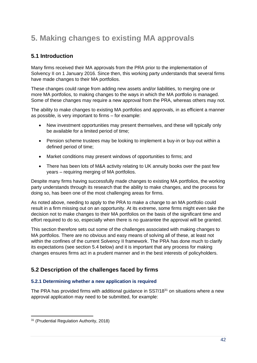## <span id="page-41-0"></span>**5. Making changes to existing MA approvals**

## <span id="page-41-1"></span>**5.1 Introduction**

Many firms received their MA approvals from the PRA prior to the implementation of Solvency II on 1 January 2016. Since then, this working party understands that several firms have made changes to their MA portfolios.

These changes could range from adding new assets and/or liabilities, to merging one or more MA portfolios, to making changes to the ways in which the MA portfolio is managed. Some of these changes may require a new approval from the PRA, whereas others may not.

The ability to make changes to existing MA portfolios and approvals, in as efficient a manner as possible, is very important to firms – for example:

- New investment opportunities may present themselves, and these will typically only be available for a limited period of time;
- Pension scheme trustees may be looking to implement a buy-in or buy-out within a defined period of time;
- Market conditions may present windows of opportunities to firms; and
- There has been lots of M&A activity relating to UK annuity books over the past few years – requiring merging of MA portfolios.

Despite many firms having successfully made changes to existing MA portfolios, the working party understands through its research that the ability to make changes, and the process for doing so, has been one of the most challenging areas for firms.

As noted above, needing to apply to the PRA to make a change to an MA portfolio could result in a firm missing out on an opportunity. At its extreme, some firms might even take the decision not to make changes to their MA portfolios on the basis of the significant time and effort required to do so, especially when there is no guarantee the approval will be granted.

This section therefore sets out some of the challenges associated with making changes to MA portfolios. There are no obvious and easy means of solving all of these, at least not within the confines of the current Solvency II framework. The PRA has done much to clarify its expectations (see section 5.4 below) and it is important that any process for making changes ensures firms act in a prudent manner and in the best interests of policyholders.

## <span id="page-41-2"></span>**5.2 Description of the challenges faced by firms**

## **5.2.1 Determining whether a new application is required**

The PRA has provided firms with additional guidance in SS7/18<sup>31</sup> on situations where a new approval application may need to be submitted, for example:

<sup>31</sup> (Prudential Regulation Authority, 2018)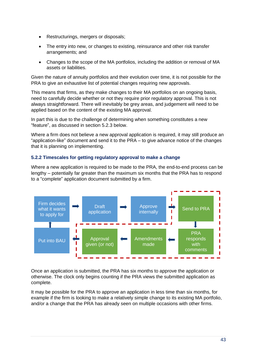- Restructurings, mergers or disposals;
- The entry into new, or changes to existing, reinsurance and other risk transfer arrangements; and
- Changes to the scope of the MA portfolios, including the addition or removal of MA assets or liabilities.

Given the nature of annuity portfolios and their evolution over time, it is not possible for the PRA to give an exhaustive list of potential changes requiring new approvals.

This means that firms, as they make changes to their MA portfolios on an ongoing basis, need to carefully decide whether or not they require prior regulatory approval. This is not always straightforward. There will inevitably be grey areas, and judgement will need to be applied based on the content of the existing MA approval.

In part this is due to the challenge of determining when something constitutes a new "feature", as discussed in section 5.2.3 below.

Where a firm does not believe a new approval application is required, it may still produce an "application-like" document and send it to the PRA – to give advance notice of the changes that it is planning on implementing.

## **5.2.2 Timescales for getting regulatory approval to make a change**

Where a new application is required to be made to the PRA, the end-to-end process can be lengthy – potentially far greater than the maximum six months that the PRA has to respond to a "complete" application document submitted by a firm.



Once an application is submitted, the PRA has six months to approve the application or otherwise. The clock only begins counting if the PRA views the submitted application as complete.

It may be possible for the PRA to approve an application in less time than six months, for example if the firm is looking to make a relatively simple change to its existing MA portfolio, and/or a change that the PRA has already seen on multiple occasions with other firms.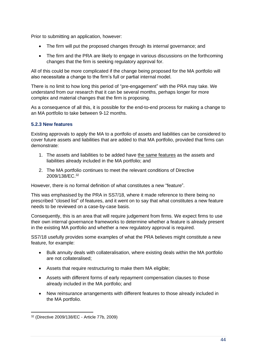Prior to submitting an application, however:

- The firm will put the proposed changes through its internal governance; and
- The firm and the PRA are likely to engage in various discussions on the forthcoming changes that the firm is seeking regulatory approval for.

All of this could be more complicated if the change being proposed for the MA portfolio will also necessitate a change to the firm's full or partial internal model.

There is no limit to how long this period of "pre-engagement" with the PRA may take. We understand from our research that it can be several months, perhaps longer for more complex and material changes that the firm is proposing.

As a consequence of all this, it is possible for the end-to-end process for making a change to an MA portfolio to take between 9-12 months.

## **5.2.3 New features**

Existing approvals to apply the MA to a portfolio of assets and liabilities can be considered to cover future assets and liabilities that are added to that MA portfolio, provided that firms can demonstrate:

- 1. The assets and liabilities to be added have the same features as the assets and liabilities already included in the MA portfolio; and
- 2. The MA portfolio continues to meet the relevant conditions of Directive 2009/138/EC. 32

However, there is no formal definition of what constitutes a new "feature".

This was emphasised by the PRA in SS7/18, where it made reference to there being no prescribed "closed list" of features, and it went on to say that what constitutes a new feature needs to be reviewed on a case-by-case basis.

Consequently, this is an area that will require judgement from firms. We expect firms to use their own internal governance frameworks to determine whether a feature is already present in the existing MA portfolio and whether a new regulatory approval is required.

SS7/18 usefully provides some examples of what the PRA believes might constitute a new feature, for example:

- Bulk annuity deals with collateralisation, where existing deals within the MA portfolio are not collateralised;
- Assets that require restructuring to make them MA eligible;
- Assets with different forms of early repayment compensation clauses to those already included in the MA portfolio; and
- New reinsurance arrangements with different features to those already included in the MA portfolio.

<sup>32</sup> (Directive 2009/138/EC - Article 77b, 2009)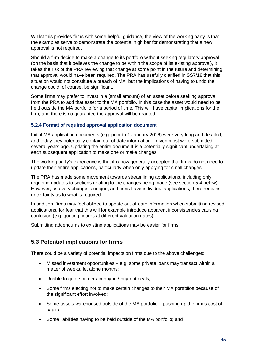Whilst this provides firms with some helpful guidance, the view of the working party is that the examples serve to demonstrate the potential high bar for demonstrating that a new approval is not required.

Should a firm decide to make a change to its portfolio without seeking regulatory approval (on the basis that it believes the change to be within the scope of its existing approval), it takes the risk of the PRA reviewing that change at some point in the future and determining that approval would have been required. The PRA has usefully clarified in SS7/18 that this situation would not constitute a breach of MA, but the implications of having to undo the change could, of course, be significant.

Some firms may prefer to invest in a (small amount) of an asset before seeking approval from the PRA to add that asset to the MA portfolio. In this case the asset would need to be held outside the MA portfolio for a period of time. This will have capital implications for the firm, and there is no guarantee the approval will be granted.

## **5.2.4 Format of required approval application document**

Initial MA application documents (e.g. prior to 1 January 2016) were very long and detailed, and today they potentially contain out-of-date information – given most were submitted several years ago. Updating the entire document is a potentially significant undertaking at each subsequent application to make one or make changes.

The working party's experience is that it is now generally accepted that firms do not need to update their entire applications, particularly when only applying for small changes.

The PRA has made some movement towards streamlining applications, including only requiring updates to sections relating to the changes being made (see section 5.4 below). However, as every change is unique, and firms have individual applications, there remains uncertainty as to what is required.

In addition, firms may feel obliged to update out-of-date information when submitting revised applications, for fear that this will for example introduce apparent inconsistencies causing confusion (e.g. quoting figures at different valuation dates).

Submitting addendums to existing applications may be easier for firms.

## <span id="page-44-0"></span>**5.3 Potential implications for firms**

There could be a variety of potential impacts on firms due to the above challenges:

- Missed investment opportunities e.g. some private loans may transact within a matter of weeks, let alone months;
- Unable to quote on certain buy-in / buy-out deals;
- Some firms electing not to make certain changes to their MA portfolios because of the significant effort involved;
- Some assets warehoused outside of the MA portfolio pushing up the firm's cost of capital;
- Some liabilities having to be held outside of the MA portfolio; and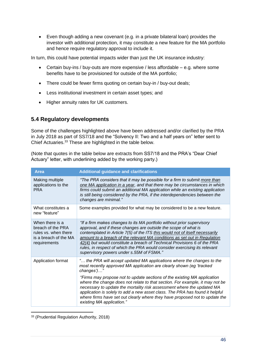• Even though adding a new covenant (e.g. in a private bilateral loan) provides the investor with additional protection, it may constitute a new feature for the MA portfolio and hence require regulatory approval to include it.

In turn, this could have potential impacts wider than just the UK insurance industry:

- Certain buy-ins / buy-outs are more expensive / less affordable e.g. where some benefits have to be provisioned for outside of the MA portfolio;
- There could be fewer firms quoting on certain buy-in / buy-out deals;
- Less institutional investment in certain asset types; and
- Higher annuity rates for UK customers.

## <span id="page-45-0"></span>**5.4 Regulatory developments**

Some of the challenges highlighted above have been addressed and/or clarified by the PRA in July 2018 as part of SS7/18 and the "Solvency II: Two and a half years on" letter sent to Chief Actuaries. <sup>33</sup> These are highlighted in the table below.

(Note that quotes in the table below are extracts from SS7/18 and the PRA's "Dear Chief Actuary" letter, with underlining added by the working party.)

| <b>Area</b>                                                                                           | <b>Additional guidance and clarifications</b>                                                                                                                                                                                                                                                                                                                                                                                                                                                                                                                     |
|-------------------------------------------------------------------------------------------------------|-------------------------------------------------------------------------------------------------------------------------------------------------------------------------------------------------------------------------------------------------------------------------------------------------------------------------------------------------------------------------------------------------------------------------------------------------------------------------------------------------------------------------------------------------------------------|
| Making multiple<br>applications to the<br><b>PRA</b>                                                  | "The PRA considers that it may be possible for a firm to submit more than<br>one MA application in a year, and that there may be circumstances in which<br>firms could submit an additional MA application while an existing application<br>is still being considered by the PRA, if the interdependencies between the<br>changes are minimal."                                                                                                                                                                                                                   |
| What constitutes a<br>new "feature"                                                                   | Some examples provided for what may be considered to be a new feature.                                                                                                                                                                                                                                                                                                                                                                                                                                                                                            |
| When there is a<br>breach of the PRA<br>rules vs. when there<br>is a breach of the MA<br>requirements | "If a firm makes changes to its MA portfolio without prior supervisory<br>approval, and if these changes are outside the scope of what is<br>contemplated in Article 7(5) of the ITS this would not of itself necessarily<br>amount to a breach of the relevant MA conditions as set out in Regulation<br>42(4) but would constitute a breach of Technical Provisions 6 of the PRA<br>rules, in respect of which the PRA would consider exercising its relevant<br>supervisory powers under s.55M of FSMA."                                                       |
| Application format                                                                                    | " the PRA will accept updated MA applications where the changes to the<br>most recently approved MA application are clearly shown (eg 'tracked<br>changes')"<br>"Firms may propose not to update sections of the existing MA application<br>where the change does not relate to that section. For example, it may not be<br>necessary to update the mortality risk assessment where the updated MA<br>application is solely to add a new asset class. The PRA has found it helpful<br>where firms have set out clearly where they have proposed not to update the |
|                                                                                                       | existing MA application."                                                                                                                                                                                                                                                                                                                                                                                                                                                                                                                                         |

<sup>33</sup> (Prudential Regulation Authority, 2018)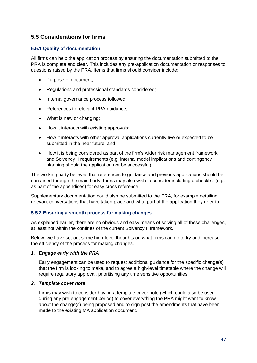## <span id="page-46-0"></span>**5.5 Considerations for firms**

## **5.5.1 Quality of documentation**

All firms can help the application process by ensuring the documentation submitted to the PRA is complete and clear. This includes any pre-application documentation or responses to questions raised by the PRA. Items that firms should consider include:

- Purpose of document;
- Regulations and professional standards considered;
- Internal governance process followed;
- References to relevant PRA guidance;
- What is new or changing:
- How it interacts with existing approvals;
- How it interacts with other approval applications currently live or expected to be submitted in the near future; and
- How it is being considered as part of the firm's wider risk management framework and Solvency II requirements (e.g. internal model implications and contingency planning should the application not be successful).

The working party believes that references to guidance and previous applications should be contained through the main body. Firms may also wish to consider including a checklist (e.g. as part of the appendices) for easy cross reference.

Supplementary documentation could also be submitted to the PRA, for example detailing relevant conversations that have taken place and what part of the application they refer to.

#### **5.5.2 Ensuring a smooth process for making changes**

As explained earlier, there are no obvious and easy means of solving all of these challenges, at least not within the confines of the current Solvency II framework.

Below, we have set out some high-level thoughts on what firms can do to try and increase the efficiency of the process for making changes.

#### *1. Engage early with the PRA*

Early engagement can be used to request additional guidance for the specific change(s) that the firm is looking to make, and to agree a high-level timetable where the change will require regulatory approval, prioritising any time sensitive opportunities.

#### *2. Template cover note*

Firms may wish to consider having a template cover note (which could also be used during any pre-engagement period) to cover everything the PRA might want to know about the change(s) being proposed and to sign-post the amendments that have been made to the existing MA application document.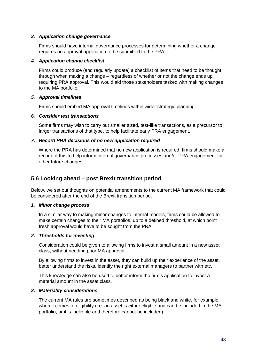## *3. Application change governance*

Firms should have internal governance processes for determining whether a change requires an approval application to be submitted to the PRA.

#### *4. Application change checklist*

Firms could produce (and regularly update) a checklist of items that need to be thought through when making a change – regardless of whether or not the change ends up requiring PRA approval. This would aid those stakeholders tasked with making changes to the MA portfolio.

## *5. Approval timelines*

Firms should embed MA approval timelines within wider strategic planning.

## *6. Consider test transactions*

Some firms may wish to carry out smaller sized, test-like transactions, as a precursor to larger transactions of that type, to help facilitate early PRA engagement.

## *7. Record PRA decisions of no new application required*

Where the PRA has determined that no new application is required, firms should make a record of this to help inform internal governance processes and/or PRA engagement for other future changes.

## <span id="page-47-0"></span>**5.6 Looking ahead – post Brexit transition period**

Below, we set out thoughts on potential amendments to the current MA framework that could be considered after the end of the Brexit transition period.

## *1. Minor change process*

In a similar way to making minor changes to internal models, firms could be allowed to make certain changes to their MA portfolios, up to a defined threshold, at which point fresh approval would have to be sought from the PRA.

## *2. Thresholds for investing*

Consideration could be given to allowing firms to invest a small amount in a new asset class, without needing prior MA approval.

By allowing firms to invest in the asset, they can build up their experience of the asset, better understand the risks, identify the right external managers to partner with etc.

This knowledge can also be used to better inform the firm's application to invest a material amount in the asset class.

#### *3. Materiality considerations*

The current MA rules are sometimes described as being black and white, for example when it comes to eligibility (i.e. an asset is either eligible and can be included in the MA portfolio, or it is ineligible and therefore cannot be included).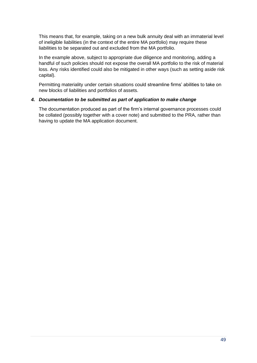This means that, for example, taking on a new bulk annuity deal with an immaterial level of ineligible liabilities (in the context of the entire MA portfolio) may require these liabilities to be separated out and excluded from the MA portfolio.

In the example above, subject to appropriate due diligence and monitoring, adding a handful of such policies should not expose the overall MA portfolio to the risk of material loss. Any risks identified could also be mitigated in other ways (such as setting aside risk capital).

Permitting materiality under certain situations could streamline firms' abilities to take on new blocks of liabilities and portfolios of assets.

## *4. Documentation to be submitted as part of application to make change*

The documentation produced as part of the firm's internal governance processes could be collated (possibly together with a cover note) and submitted to the PRA, rather than having to update the MA application document.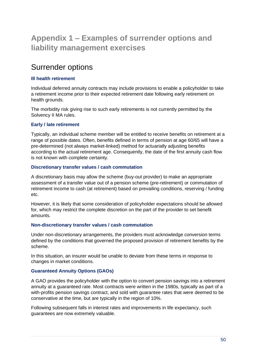## <span id="page-49-0"></span>**Appendix 1 – Examples of surrender options and liability management exercises**

## Surrender options

## **Ill health retirement**

Individual deferred annuity contracts may include provisions to enable a policyholder to take a retirement income prior to their expected retirement date following early retirement on health grounds.

The morbidity risk giving rise to such early retirements is not currently permitted by the Solvency II MA rules.

## **Early / late retirement**

Typically, an individual scheme member will be entitled to receive benefits on retirement at a range of possible dates. Often, benefits defined in terms of pension at age 60/65 will have a pre-determined (not always market-linked) method for actuarially adjusting benefits according to the actual retirement age. Consequently, the date of the first annuity cash flow is not known with complete certainty.

## **Discretionary transfer values / cash commutation**

A discretionary basis may allow the scheme (buy-out provider) to make an appropriate assessment of a transfer value out of a pension scheme (pre-retirement) or commutation of retirement income to cash (at retirement) based on prevailing conditions, reserving / funding etc.

However, it is likely that some consideration of policyholder expectations should be allowed for, which may restrict the complete discretion on the part of the provider to set benefit amounts.

#### **Non-discretionary transfer values / cash commutation**

Under non-discretionary arrangements, the providers must acknowledge conversion terms defined by the conditions that governed the proposed provision of retirement benefits by the scheme.

In this situation, an insurer would be unable to deviate from these terms in response to changes in market conditions.

## **Guaranteed Annuity Options (GAOs)**

A GAO provides the policyholder with the option to convert pension savings into a retirement annuity at a guaranteed rate. Most contracts were written in the 1980s, typically as part of a with-profits pension savings contract, and sold with guarantee rates that were deemed to be conservative at the time, but are typically in the region of 10%.

Following subsequent falls in interest rates and improvements in life expectancy, such guarantees are now extremely valuable.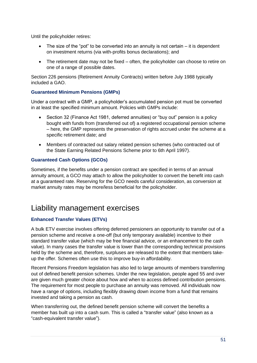Until the policyholder retires:

- The size of the "pot" to be converted into an annuity is not certain it is dependent on investment returns (via with-profits bonus declarations); and
- The retirement date may not be fixed often, the policyholder can choose to retire on one of a range of possible dates.

Section 226 pensions (Retirement Annuity Contracts) written before July 1988 typically included a GAO.

## **Guaranteed Minimum Pensions (GMPs)**

Under a contract with a GMP, a policyholder's accumulated pension pot must be converted in at least the specified minimum amount. Policies with GMPs include:

- Section 32 (Finance Act 1981, deferred annuities) or "buy out" pension is a policy bought with funds from (transferred out of) a registered occupational pension scheme – here, the GMP represents the preservation of rights accrued under the scheme at a specific retirement date; and
- Members of contracted out salary related pension schemes (who contracted out of the State Earning Related Pensions Scheme prior to 6th April 1997).

## **Guaranteed Cash Options (GCOs)**

Sometimes, if the benefits under a pension contract are specified in terms of an annual annuity amount, a GCO may attach to allow the policyholder to convert the benefit into cash at a guaranteed rate. Reserving for the GCO needs careful consideration, as conversion at market annuity rates may be more/less beneficial for the policyholder.

## Liability management exercises

## **Enhanced Transfer Values (ETVs)**

A bulk ETV exercise involves offering deferred pensioners an opportunity to transfer out of a pension scheme and receive a one-off (but only temporary available) incentive to their standard transfer value (which may be free financial advice, or an enhancement to the cash value). In many cases the transfer value is lower than the corresponding technical provisions held by the scheme and, therefore, surpluses are released to the extent that members takeup the offer. Schemes often use this to improve buy-in affordability.

Recent Pensions Freedom legislation has also led to large amounts of members transferring out of defined benefit pension schemes. Under the new legislation, people aged 55 and over are given much greater choice about how and when to access defined contribution pensions. The requirement for most people to purchase an annuity was removed. All individuals now have a range of options, including flexibly drawing down income from a fund that remains invested and taking a pension as cash.

When transferring out, the defined benefit pension scheme will convert the benefits a member has built up into a cash sum. This is called a "transfer value" (also known as a "cash-equivalent transfer value").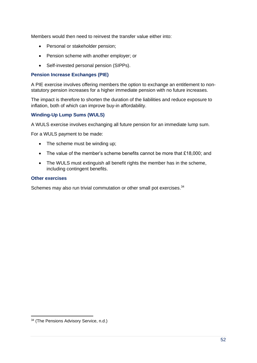Members would then need to reinvest the transfer value either into:

- Personal or stakeholder pension:
- Pension scheme with another employer; or
- Self-invested personal pension (SIPPs).

#### **Pension Increase Exchanges (PIE)**

A PIE exercise involves offering members the option to exchange an entitlement to nonstatutory pension increases for a higher immediate pension with no future increases.

The impact is therefore to shorten the duration of the liabilities and reduce exposure to inflation, both of which can improve buy-in affordability.

## **Winding-Up Lump Sums (WULS)**

A WULS exercise involves exchanging all future pension for an immediate lump sum.

For a WULS payment to be made:

- The scheme must be winding up;
- The value of the member's scheme benefits cannot be more that £18,000; and
- The WULS must extinguish all benefit rights the member has in the scheme, including contingent benefits.

#### **Other exercises**

Schemes may also run trivial commutation or other small pot exercises.<sup>34</sup>

<sup>34</sup> (The Pensions Advisory Service, n.d.)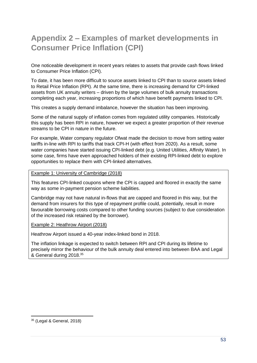## <span id="page-52-0"></span>**Appendix 2 – Examples of market developments in Consumer Price Inflation (CPI)**

One noticeable development in recent years relates to assets that provide cash flows linked to Consumer Price Inflation (CPI).

To date, it has been more difficult to source assets linked to CPI than to source assets linked to Retail Price Inflation (RPI). At the same time, there is increasing demand for CPI-linked assets from UK annuity writers – driven by the large volumes of bulk annuity transactions completing each year, increasing proportions of which have benefit payments linked to CPI.

This creates a supply demand imbalance, however the situation has been improving.

Some of the natural supply of inflation comes from regulated utility companies. Historically this supply has been RPI in nature, however we expect a greater proportion of their revenue streams to be CPI in nature in the future.

For example, Water company regulator Ofwat made the decision to move from setting water tariffs in-line with RPI to tariffs that track CPI-H (with effect from 2020). As a result, some water companies have started issuing CPI-linked debt (e.g. United Utilities, Affinity Water). In some case, firms have even approached holders of their existing RPI-linked debt to explore opportunities to replace them with CPI-linked alternatives.

## Example 1: University of Cambridge (2018)

This features CPI-linked coupons where the CPI is capped and floored in exactly the same way as some in-payment pension scheme liabilities.

Cambridge may not have natural in-flows that are capped and floored in this way, but the demand from insurers for this type of repayment profile could, potentially, result in more favourable borrowing costs compared to other funding sources (subject to due consideration of the increased risk retained by the borrower).

## Example 2: Heathrow Airport (2018)

Heathrow Airport issued a 40-year index-linked bond in 2018.

The inflation linkage is expected to switch between RPI and CPI during its lifetime to precisely mirror the behaviour of the bulk annuity deal entered into between BAA and Legal & General during 2018. 35

<sup>35</sup> (Legal & General, 2018)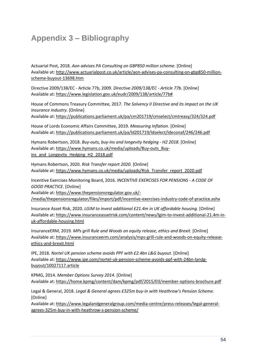## <span id="page-53-0"></span>**Appendix 3 – Bibliography**

Actuarial Post, 2018. *Aon advises PA Consulting on GBP850 million scheme.* [Online] Available at: http://www.actuarialpost.co.uk/article/aon-advises-pa-consulting-on-gbp850-millionscheme-buyout-13698.htm

Directive 2009/138/EC - Article 77b, 2009. *Directive 2009/138/EC - Article 77b.* [Online] Available at: https://www.legislation.gov.uk/eudr/2009/138/article/77b#

House of Commons Treasury Committee, 2017. *The Solvency II Directive and its impact on the UK Insurance Industry.* [Online] Available at: https://publications.parliament.uk/pa/cm201719/cmselect/cmtreasy/324/324.pdf

House of Lords Economic Affairs Committee, 2019. *Measuring Inflation.* [Online] Available at: https://publications.parliament.uk/pa/ld201719/ldselect/ldeconaf/246/246.pdf

Hymans Robertson, 2018. *Buy-outs, buy-ins and longevity hedging - H2 2018.* [Online] Available at: https://www.hymans.co.uk/media/uploads/Buy-outs\_Buyins\_and\_Longevity\_Hedging\_H2\_2018.pdf

Hymans Robertson, 2020. *Risk Transfer report 2020.* [Online] Available at: https://www.hymans.co.uk/media/uploads/Risk\_Transfer\_report\_2020.pdf

Incentive Exercises Monitoring Board, 2016. *INCENTIVE EXERCISES FOR PENSIONS - A CODE OF GOOD PRACTICE.* [Online]

Available at: https://www.thepensionsregulator.gov.uk/- /media/thepensionsregulator/files/import/pdf/incentive-exercises-industry-code-of-practice.ashx

Insurance Asset Risk, 2020. *LGIM to invest additional £21.4m in UK affordable housing.* [Online] Available at: https://www.insuranceassetrisk.com/content/news/lgim-to-invest-additional-21.4m-inuk-affordable-housing.html

InsuranceERM, 2019. *MPs grill Rule and Woods on equity release, ethics and Brexit.* [Online] Available at: https://www.insuranceerm.com/analysis/mps-grill-rule-and-woods-on-equity-releaseethics-and-brexit.html

IPE, 2018. *Nortel UK pension scheme avoids PPF with £2.4bn L&G buyout.* [Online] Available at: https://www.ipe.com/nortel-uk-pension-scheme-avoids-ppf-with-24bn-landgbuyout/10027117.article

KPMG, 2014. *Member Options Survey 2014.* [Online] Available at: https://home.kpmg/content/dam/kpmg/pdf/2015/03/member-options-brochure.pdf

Legal & General, 2018. *Legal & General agrees £325m buy-in with Heathrow's Pension Scheme.*  [Online]

Available at: https://www.legalandgeneralgroup.com/media-centre/press-releases/legal-generalagrees-325m-buy-in-with-heathrow-s-pension-scheme/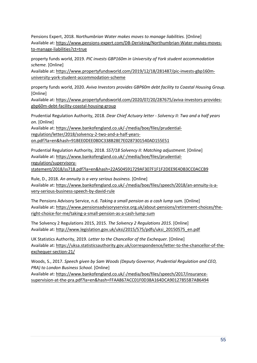Pensions Expert, 2018. *Northumbrian Water makes moves to manage liabilities.* [Online] Available at: https://www.pensions-expert.com/DB-Derisking/Northumbrian-Water-makes-movesto-manage-liabilities?ct=true

property funds world, 2019. *PIC invests GBP160m in University of York student accommodation scheme.* [Online]

Available at: https://www.propertyfundsworld.com/2019/12/18/281487/pic-invests-gbp160muniversity-york-student-accommodation-scheme

property funds world, 2020. *Aviva Investors provides GBP60m debt facility to Coastal Housing Group.*  [Online]

Available at: https://www.propertyfundsworld.com/2020/07/20/287675/aviva-investors-providesgbp60m-debt-facility-coastal-housing-group

Prudential Regulation Authority, 2018. *Dear Chief Actuary letter - Solvency II: Two and a half years on.* [Online]

Available at: https://www.bankofengland.co.uk/-/media/boe/files/prudentialregulation/letter/2018/solvency-2-two-and-a-half-years-

on.pdf?la=en&hash=91BEE0DEE0BDC338B28E7E0287301540AD155E51

Prudential Regulation Authority, 2018. *SS7/18 Solvency II: Matching adjustment.* [Online] Available at: https://www.bankofengland.co.uk/-/media/boe/files/prudentialregulation/supervisory-

statement/2018/ss718.pdf?la=en&hash=22A504591729AF307F1F1F2DEE9E4DB3CC0ACCB9

Rule, D., 2018. *An annuity is a very serious business.* [Online] Available at: https://www.bankofengland.co.uk/-/media/boe/files/speech/2018/an-annuity-is-avery-serious-business-speech-by-david-rule

The Pensions Advisory Service, n.d. *Taking a small pension as a cash lump sum.* [Online] Available at: https://www.pensionsadvisoryservice.org.uk/about-pensions/retirement-choices/theright-choice-for-me/taking-a-small-pension-as-a-cash-lump-sum

The Solvency 2 Regulations 2015, 2015. *The Solvency 2 Regulations 2015.* [Online] Available at: http://www.legislation.gov.uk/uksi/2015/575/pdfs/uksi\_20150575\_en.pdf

UK Statistics Authority, 2019. *Letter to the Chancellor of the Exchequer.* [Online] Available at: https://uksa.statisticsauthority.gov.uk/correspondence/letter-to-the-chancellor-of-theexchequer-section-21/

Woods, S., 2017. *Speech given by Sam Woods (Deputy Governor, Prudential Regulation and CEO, PRA) to London Business School.* [Online]

Available at: https://www.bankofengland.co.uk/-/media/boe/files/speech/2017/insurancesupervision-at-the-pra.pdf?la=en&hash=FFAA867ACC01F0D38A164DCA90127855B7AB6494